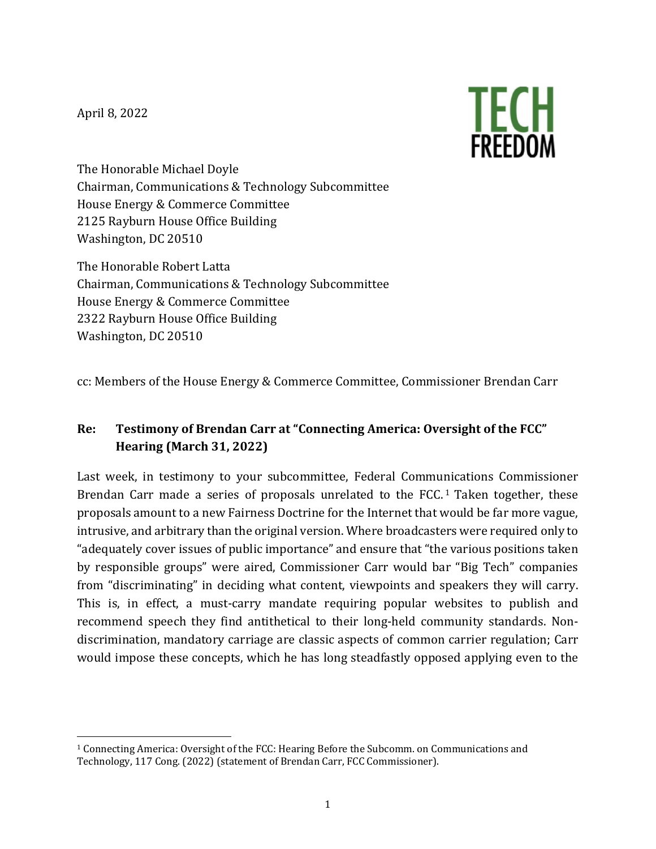April 8, 2022



The Honorable Michael Doyle Chairman, Communications & Technology Subcommittee House Energy & Commerce Committee 2125 Rayburn House Office Building Washington, DC 20510

The Honorable Robert Latta Chairman, Communications & Technology Subcommittee House Energy & Commerce Committee 2322 Rayburn House Office Building Washington, DC 20510

cc: Members of the House Energy & Commerce Committee, Commissioner Brendan Carr

## **Re: Testimony of Brendan Carr at "Connecting America: Oversight of the FCC" Hearing (March 31, 2022)**

<span id="page-0-1"></span>Last week, in testimony to your subcommittee, Federal Communications Commissioner Brendan Carr made a series of proposals unrelated to the FCC.<sup>[1](#page-0-0)</sup> Taken together, these proposals amount to a new Fairness Doctrine for the Internet that would be far more vague, intrusive, and arbitrary than the original version. Where broadcasters were required only to "adequately cover issues of public importance" and ensure that "the various positions taken by responsible groups" were aired, Commissioner Carr would bar "Big Tech" companies from "discriminating" in deciding what content, viewpoints and speakers they will carry. This is, in effect, a must-carry mandate requiring popular websites to publish and recommend speech they find antithetical to their long-held community standards. Nondiscrimination, mandatory carriage are classic aspects of common carrier regulation; Carr would impose these concepts, which he has long steadfastly opposed applying even to the

<span id="page-0-0"></span><sup>&</sup>lt;sup>1</sup> Connecting America: Oversight of the FCC: Hearing Before the Subcomm. on Communications and Technology, 117 Cong. (2022) (statement of Brendan Carr, FCC Commissioner).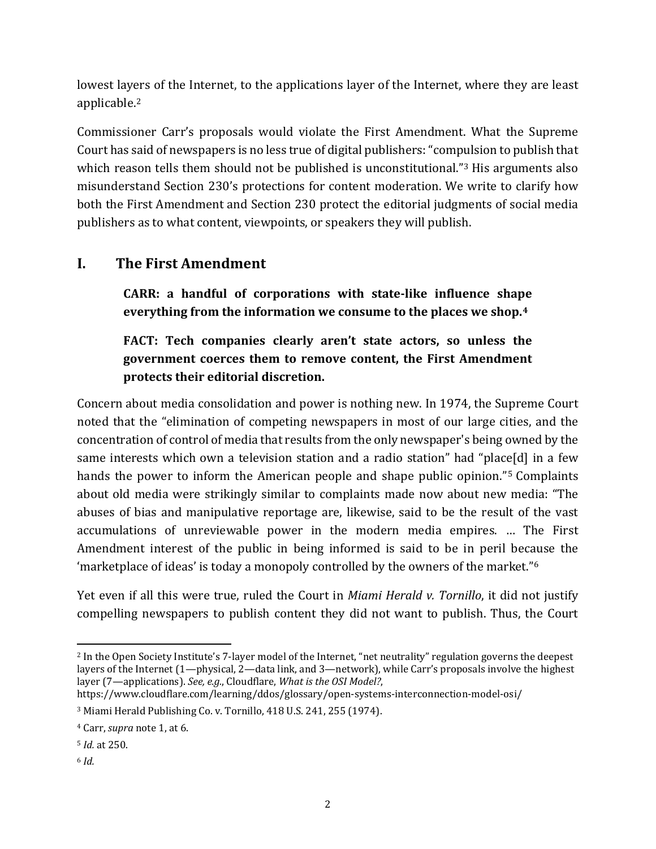<span id="page-1-5"></span>lowest layers of the Internet, to the applications layer of the Internet, where they are least applicable. [2](#page-1-0)

Commissioner Carr's proposals would violate the First Amendment. What the Supreme Court has said of newspapers is no less true of digital publishers: "compulsion to publish that which reason tells them should not be published is unconstitutional."<sup>[3](#page-1-1)</sup> His arguments also misunderstand Section 230's protections for content moderation. We write to clarify how both the First Amendment and Section 230 protect the editorial judgments of social media publishers as to what content, viewpoints, or speakers they will publish.

# **I. The First Amendment**

**CARR: a handful of corporations with state-like influence shape everything from the information we consume to the places we shop.[4](#page-1-2)**

## **FACT: Tech companies clearly aren't state actors, so unless the government coerces them to remove content, the First Amendment protects their editorial discretion.**

Concern about media consolidation and power is nothing new. In 1974, the Supreme Court noted that the "elimination of competing newspapers in most of our large cities, and the concentration of control of media that results from the only newspaper's being owned by the same interests which own a television station and a radio station" had "place[d] in a few hands the power to inform the American people and shape public opinion."[5](#page-1-3) Complaints about old media were strikingly similar to complaints made now about new media: "The abuses of bias and manipulative reportage are, likewise, said to be the result of the vast accumulations of unreviewable power in the modern media empires. … The First Amendment interest of the public in being informed is said to be in peril because the 'marketplace of ideas' is today a monopoly controlled by the owners of the market."[6](#page-1-4)

Yet even if all this were true, ruled the Court in *Miami Herald v. Tornillo*, it did not justify compelling newspapers to publish content they did not want to publish. Thus, the Court

<span id="page-1-0"></span><sup>2</sup> In the Open Society Institute's 7-layer model of the Internet, "net neutrality" regulation governs the deepest layers of the Internet (1—physical, 2—data link, and 3—network), while Carr's proposals involve the highest layer (7—applications). *See, e.g.*, Cloudflare, *What is the OSI Model?*,

https://www.cloudflare.com/learning/ddos/glossary/open-systems-interconnection-model-osi/

<span id="page-1-1"></span><sup>3</sup> Miami Herald Publishing Co. v. Tornillo, 418 U.S. 241, 255 (1974).

<span id="page-1-2"></span><sup>4</sup> Carr, *supra* note [1,](#page-0-1) at 6.

<span id="page-1-3"></span><sup>5</sup> *Id.* at 250.

<span id="page-1-4"></span><sup>6</sup> *Id.*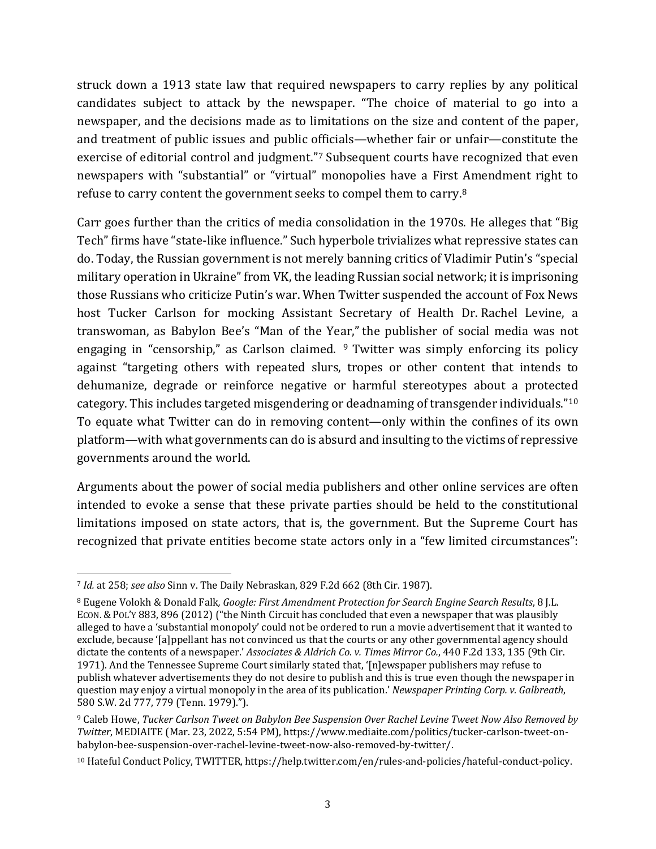struck down a 1913 state law that required newspapers to carry replies by any political candidates subject to attack by the newspaper. "The choice of material to go into a newspaper, and the decisions made as to limitations on the size and content of the paper, and treatment of public issues and public officials—whether fair or unfair—constitute the exercise of editorial control and judgment."[7](#page-2-0) Subsequent courts have recognized that even newspapers with "substantial" or "virtual" monopolies have a First Amendment right to refuse to carry content the government seeks to compel them to carry. [8](#page-2-1)

<span id="page-2-4"></span>Carr goes further than the critics of media consolidation in the 1970s. He alleges that "Big Tech" firms have "state-like influence." Such hyperbole trivializes what repressive states can do. Today, the Russian government is not merely banning critics of Vladimir Putin's "special military operation in Ukraine" from VK, the leading Russian social network; it is imprisoning those Russians who criticize Putin's war. When Twitter suspended the account of Fox News host Tucker Carlson for mocking Assistant Secretary of Health Dr. Rachel Levine, a transwoman, as Babylon Bee's "Man of the Year," the publisher of social media was not engaging in "censorship," as Carlson claimed.  $9$  Twitter was simply enforcing its policy against "targeting others with repeated slurs, tropes or other content that intends to dehumanize, degrade or reinforce negative or harmful stereotypes about a protected category. This includes targeted misgendering or deadnaming of transgender individuals."[10](#page-2-3) To equate what Twitter can do in removing content—only within the confines of its own platform—with what governments can do is absurd and insulting to the victims of repressive governments around the world.

Arguments about the power of social media publishers and other online services are often intended to evoke a sense that these private parties should be held to the constitutional limitations imposed on state actors, that is, the government. But the Supreme Court has recognized that private entities become state actors only in a "few limited circumstances":

<span id="page-2-0"></span><sup>7</sup> *Id.* at 258; *see also* Sinn v. The Daily Nebraskan, 829 F.2d 662 (8th Cir. 1987).

<span id="page-2-1"></span><sup>8</sup> Eugene Volokh & Donald Falk*, Google: First Amendment Protection for Search Engine Search Results*, 8 J.L. ECON. & POL'Y 883, 896 (2012) ("the Ninth Circuit has concluded that even a newspaper that was plausibly alleged to have a 'substantial monopoly' could not be ordered to run a movie advertisement that it wanted to exclude, because '[a]ppellant has not convinced us that the courts or any other governmental agency should dictate the contents of a newspaper.' *Associates & Aldrich Co. v. Times Mirror Co.*, 440 F.2d 133, 135 (9th Cir. 1971). And the Tennessee Supreme Court similarly stated that, '[n]ewspaper publishers may refuse to publish whatever advertisements they do not desire to publish and this is true even though the newspaper in question may enjoy a virtual monopoly in the area of its publication.' *Newspaper Printing Corp. v. Galbreath*, 580 S.W. 2d 777, 779 (Tenn. 1979).").

<span id="page-2-2"></span><sup>9</sup> Caleb Howe, *Tucker Carlson Tweet on Babylon Bee Suspension Over Rachel Levine Tweet Now Also Removed by Twitter*, MEDIAITE (Mar. 23, 2022, 5:54 PM), https://www.mediaite.com/politics/tucker-carlson-tweet-onbabylon-bee-suspension-over-rachel-levine-tweet-now-also-removed-by-twitter/.

<span id="page-2-3"></span><sup>10</sup> Hateful Conduct Policy, TWITTER, https://help.twitter.com/en/rules-and-policies/hateful-conduct-policy.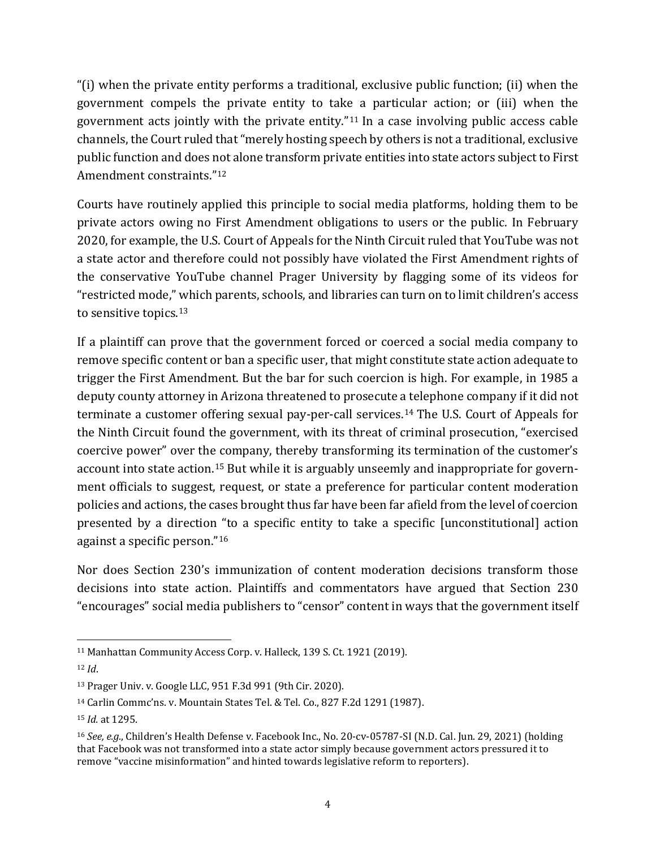"(i) when the private entity performs a traditional, exclusive public function; (ii) when the government compels the private entity to take a particular action; or (iii) when the government acts jointly with the private entity."[11](#page-3-0) In a case involving public access cable channels, the Court ruled that "merely hosting speech by others is not a traditional, exclusive public function and does not alone transform private entities into state actors subject to First Amendment constraints."[12](#page-3-1)

Courts have routinely applied this principle to social media platforms, holding them to be private actors owing no First Amendment obligations to users or the public. In February 2020, for example, the U.S. Court of Appeals for the Ninth Circuit ruled that YouTube was not a state actor and therefore could not possibly have violated the First Amendment rights of the conservative YouTube channel Prager University by flagging some of its videos for "restricted mode," which parents, schools, and libraries can turn on to limit children's access to sensitive topics.[13](#page-3-2)

If a plaintiff can prove that the government forced or coerced a social media company to remove specific content or ban a specific user, that might constitute state action adequate to trigger the First Amendment. But the bar for such coercion is high. For example, in 1985 a deputy county attorney in Arizona threatened to prosecute a telephone company if it did not terminate a customer offering sexual pay-per-call services. [14](#page-3-3) The U.S. Court of Appeals for the Ninth Circuit found the government, with its threat of criminal prosecution, "exercised coercive power" over the company, thereby transforming its termination of the customer's account into state action.[15](#page-3-4) But while it is arguably unseemly and inappropriate for government officials to suggest, request, or state a preference for particular content moderation policies and actions, the cases brought thus far have been far afield from the level of coercion presented by a direction "to a specific entity to take a specific [unconstitutional] action against a specific person."[16](#page-3-5)

Nor does Section 230's immunization of content moderation decisions transform those decisions into state action. Plaintiffs and commentators have argued that Section 230 "encourages" social media publishers to "censor" content in ways that the government itself

<span id="page-3-1"></span><span id="page-3-0"></span><sup>&</sup>lt;sup>11</sup> Manhattan Community Access Corp. v. Halleck, 139 S. Ct. 1921 (2019). <sup>12</sup> *Id*.

<span id="page-3-2"></span><sup>13</sup> Prager Univ. v. Google LLC, 951 F.3d 991 (9th Cir. 2020).

<span id="page-3-3"></span><sup>14</sup> Carlin Commc'ns. v. Mountain States Tel. & Tel. Co., 827 F.2d 1291 (1987).

<span id="page-3-4"></span><sup>15</sup> *Id.* at 1295.

<span id="page-3-5"></span><sup>16</sup> *See, e.g.*, Children's Health Defense v. Facebook Inc., No. 20-cv-05787-SI (N.D. Cal. Jun. 29, 2021) (holding that Facebook was not transformed into a state actor simply because government actors pressured it to remove "vaccine misinformation" and hinted towards legislative reform to reporters).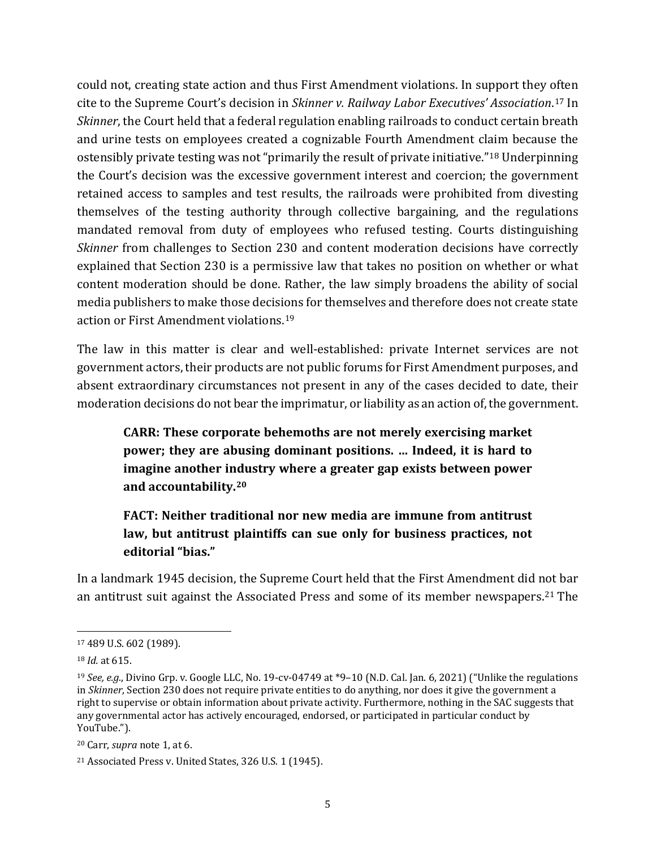could not, creating state action and thus First Amendment violations. In support they often cite to the Supreme Court's decision in *Skinner v. Railway Labor Executives' Association*.[17](#page-4-0) In *Skinner*, the Court held that a federal regulation enabling railroads to conduct certain breath and urine tests on employees created a cognizable Fourth Amendment claim because the ostensibly private testing was not "primarily the result of private initiative."[18](#page-4-1) Underpinning the Court's decision was the excessive government interest and coercion; the government retained access to samples and test results, the railroads were prohibited from divesting themselves of the testing authority through collective bargaining, and the regulations mandated removal from duty of employees who refused testing. Courts distinguishing *Skinner* from challenges to Section 230 and content moderation decisions have correctly explained that Section 230 is a permissive law that takes no position on whether or what content moderation should be done. Rather, the law simply broadens the ability of social media publishers to make those decisions for themselves and therefore does not create state action or First Amendment violations. [19](#page-4-2)

The law in this matter is clear and well-established: private Internet services are not government actors, their products are not public forums for First Amendment purposes, and absent extraordinary circumstances not present in any of the cases decided to date, their moderation decisions do not bear the imprimatur, or liability as an action of, the government.

**CARR: These corporate behemoths are not merely exercising market power; they are abusing dominant positions. … Indeed, it is hard to imagine another industry where a greater gap exists between power and accountability.[20](#page-4-3)**

# **FACT: Neither traditional nor new media are immune from antitrust law, but antitrust plaintiffs can sue only for business practices, not editorial "bias."**

In a landmark 1945 decision, the Supreme Court held that the First Amendment did not bar an antitrust suit against the Associated Press and some of its member newspapers.[21](#page-4-4) The

<span id="page-4-0"></span><sup>17</sup> 489 U.S. 602 (1989).

<span id="page-4-1"></span><sup>18</sup> *Id.* at 615.

<span id="page-4-2"></span><sup>19</sup> *See, e.g.*, Divino Grp. v. Google LLC, No. 19-cv-04749 at \*9–10 (N.D. Cal. Jan. 6, 2021) ("Unlike the regulations in *Skinner*, Section 230 does not require private entities to do anything, nor does it give the government a right to supervise or obtain information about private activity. Furthermore, nothing in the SAC suggests that any governmental actor has actively encouraged, endorsed, or participated in particular conduct by YouTube.").

<span id="page-4-3"></span><sup>20</sup> Carr, *supra* note [1,](#page-0-1) at 6.

<span id="page-4-4"></span><sup>21</sup> Associated Press v. United States, 326 U.S. 1 (1945).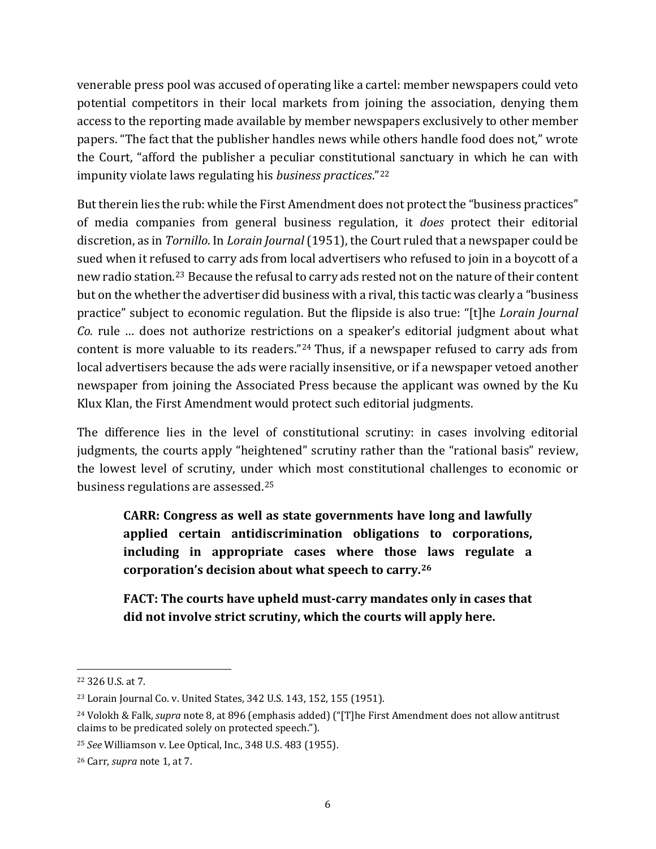venerable press pool was accused of operating like a cartel: member newspapers could veto potential competitors in their local markets from joining the association, denying them access to the reporting made available by member newspapers exclusively to other member papers. "The fact that the publisher handles news while others handle food does not," wrote the Court, "afford the publisher a peculiar constitutional sanctuary in which he can with impunity violate laws regulating his *business practices*."[22](#page-5-0)

But therein lies the rub: while the First Amendment does not protect the "business practices" of media companies from general business regulation, it *does* protect their editorial discretion, as in *Tornillo*. In *Lorain Journal* (1951), the Court ruled that a newspaper could be sued when it refused to carry ads from local advertisers who refused to join in a boycott of a new radio station. [23](#page-5-1) Because the refusal to carry ads rested not on the nature of their content but on the whether the advertiser did business with a rival, this tactic was clearly a "business practice" subject to economic regulation. But the flipside is also true: "[t]he *Lorain Journal Co.* rule … does not authorize restrictions on a speaker's editorial judgment about what content is more valuable to its readers."[24](#page-5-2) Thus, if a newspaper refused to carry ads from local advertisers because the ads were racially insensitive, or if a newspaper vetoed another newspaper from joining the Associated Press because the applicant was owned by the Ku Klux Klan, the First Amendment would protect such editorial judgments.

<span id="page-5-5"></span>The difference lies in the level of constitutional scrutiny: in cases involving editorial judgments, the courts apply "heightened" scrutiny rather than the "rational basis" review, the lowest level of scrutiny, under which most constitutional challenges to economic or business regulations are assessed. [25](#page-5-3)

**CARR: Congress as well as state governments have long and lawfully applied certain antidiscrimination obligations to corporations, including in appropriate cases where those laws regulate a corporation's decision about what speech to carry.[26](#page-5-4)**

**FACT: The courts have upheld must-carry mandates only in cases that did not involve strict scrutiny, which the courts will apply here.**

<span id="page-5-0"></span><sup>22</sup> 326 U.S. at 7.

<span id="page-5-1"></span><sup>23</sup> Lorain Journal Co. v. United States, 342 U.S. 143, 152, 155 (1951).

<span id="page-5-2"></span><sup>24</sup> Volokh & Falk, *supra* not[e 8,](#page-2-4) at 896 (emphasis added) ("[T]he First Amendment does not allow antitrust claims to be predicated solely on protected speech.").

<span id="page-5-3"></span><sup>25</sup> *See* Williamson v. Lee Optical, Inc., 348 U.S. 483 (1955).

<span id="page-5-4"></span><sup>26</sup> Carr, *supra* note [1,](#page-0-1) at 7.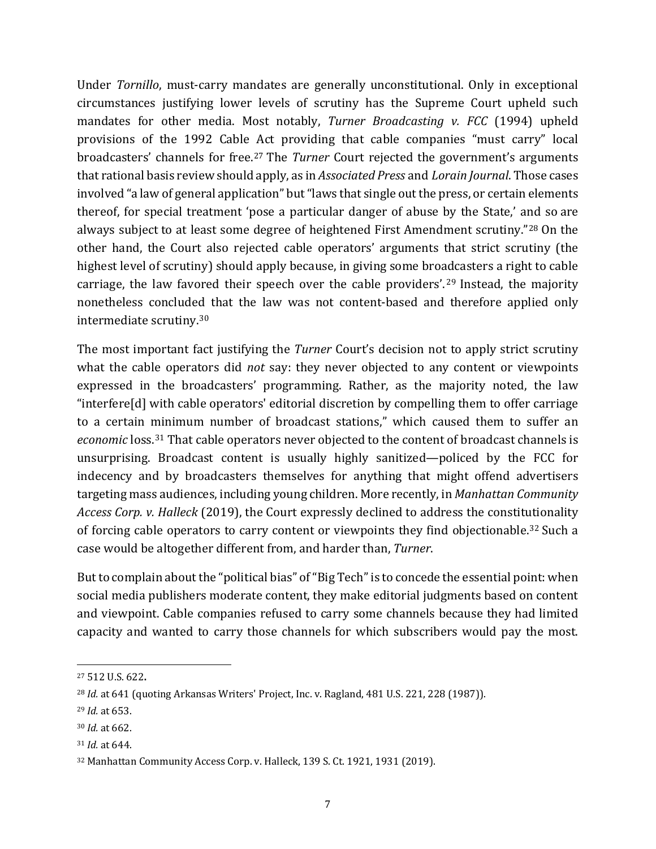Under *Tornillo*, must-carry mandates are generally unconstitutional. Only in exceptional circumstances justifying lower levels of scrutiny has the Supreme Court upheld such mandates for other media. Most notably, *Turner Broadcasting v. FCC* (1994) upheld provisions of the 1992 Cable Act providing that cable companies "must carry" local broadcasters' channels for free.[27](#page-6-0) The *Turner* Court rejected the government's arguments that rational basis review should apply, as in *Associated Press* and *Lorain Journal*. Those cases involved "a law of general application" but "laws that single out the press, or certain elements thereof, for special treatment 'pose a particular danger of abuse by the State,' and so are always subject to at least some degree of heightened First Amendment scrutiny."[28](#page-6-1) On the other hand, the Court also rejected cable operators' arguments that strict scrutiny (the highest level of scrutiny) should apply because, in giving some broadcasters a right to cable carriage, the law favored their speech over the cable providers'. [29](#page-6-2) Instead, the majority nonetheless concluded that the law was not content-based and therefore applied only intermediate scrutiny.[30](#page-6-3)

The most important fact justifying the *Turner* Court's decision not to apply strict scrutiny what the cable operators did *not* say: they never objected to any content or viewpoints expressed in the broadcasters' programming. Rather, as the majority noted, the law "interfere[d] with cable operators' editorial discretion by compelling them to offer carriage to a certain minimum number of broadcast stations," which caused them to suffer an *economic* loss. [31](#page-6-4) That cable operators never objected to the content of broadcast channels is unsurprising. Broadcast content is usually highly sanitized—policed by the FCC for indecency and by broadcasters themselves for anything that might offend advertisers targeting mass audiences, including young children. More recently, in *Manhattan Community Access Corp. v. Halleck* (2019), the Court expressly declined to address the constitutionality of forcing cable operators to carry content or viewpoints they find objectionable. [32](#page-6-5) Such a case would be altogether different from, and harder than, *Turner*.

But to complain about the "political bias" of "Big Tech" is to concede the essential point: when social media publishers moderate content, they make editorial judgments based on content and viewpoint. Cable companies refused to carry some channels because they had limited capacity and wanted to carry those channels for which subscribers would pay the most.

<span id="page-6-0"></span><sup>27</sup> 512 U.S. 622**.**

<span id="page-6-1"></span><sup>&</sup>lt;sup>28</sup> *Id.* at 641 (quoting Arkansas Writers' Project, Inc. v. Ragland, 481 U.S. 221, 228 (1987)).

<span id="page-6-2"></span><sup>29</sup> *Id.* at 653.

<span id="page-6-3"></span><sup>30</sup> *Id.* at 662.

<span id="page-6-4"></span><sup>31</sup> *Id.* at 644.

<span id="page-6-5"></span><sup>32</sup> Manhattan Community Access Corp. v. Halleck, 139 S. Ct. 1921, 1931 (2019).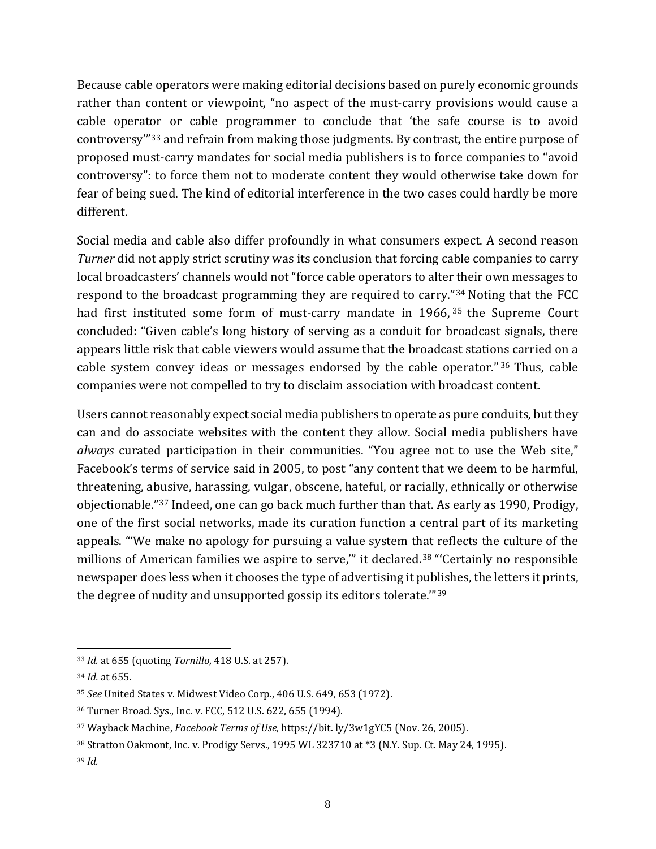Because cable operators were making editorial decisions based on purely economic grounds rather than content or viewpoint, "no aspect of the must-carry provisions would cause a cable operator or cable programmer to conclude that 'the safe course is to avoid controversy'"[33](#page-7-0) and refrain from making those judgments. By contrast, the entire purpose of proposed must-carry mandates for social media publishers is to force companies to "avoid controversy": to force them not to moderate content they would otherwise take down for fear of being sued. The kind of editorial interference in the two cases could hardly be more different.

Social media and cable also differ profoundly in what consumers expect. A second reason *Turner* did not apply strict scrutiny was its conclusion that forcing cable companies to carry local broadcasters' channels would not "force cable operators to alter their own messages to respond to the broadcast programming they are required to carry."[34](#page-7-1) Noting that the FCC had first instituted some form of must-carry mandate in 1966,<sup>[35](#page-7-2)</sup> the Supreme Court concluded: "Given cable's long history of serving as a conduit for broadcast signals, there appears little risk that cable viewers would assume that the broadcast stations carried on a cable system convey ideas or messages endorsed by the cable operator." [36](#page-7-3) Thus, cable companies were not compelled to try to disclaim association with broadcast content.

Users cannot reasonably expect social media publishers to operate as pure conduits, but they can and do associate websites with the content they allow. Social media publishers have *always* curated participation in their communities. "You agree not to use the Web site," Facebook's terms of service said in 2005, to post "any content that we deem to be harmful, threatening, abusive, harassing, vulgar, obscene, hateful, or racially, ethnically or otherwise objectionable."[37](#page-7-4) Indeed, one can go back much further than that. As early as 1990, Prodigy, one of the first social networks, made its curation function a central part of its marketing appeals. "'We make no apology for pursuing a value system that reflects the culture of the millions of American families we aspire to serve," it declared.<sup>38</sup> "'Certainly no responsible newspaper does less when it chooses the type of advertising it publishes, the letters it prints, the degree of nudity and unsupported gossip its editors tolerate.'"[39](#page-7-6)

<span id="page-7-0"></span><sup>33</sup> *Id.* at 655 (quoting *Tornillo*, 418 U.S. at 257).

<span id="page-7-1"></span><sup>34</sup> *Id.* at 655.

<span id="page-7-2"></span><sup>35</sup> *See* United States v. Midwest Video Corp., 406 U.S. 649, 653 (1972).

<span id="page-7-3"></span><sup>36</sup> Turner Broad. Sys., Inc. v. FCC, 512 U.S. 622, 655 (1994).

<span id="page-7-4"></span><sup>37</sup> Wayback Machine, *Facebook Terms of Use*, https://bit. ly/3w1gYC5 (Nov. 26, 2005).

<span id="page-7-5"></span><sup>38</sup> Stratton Oakmont, Inc. v. Prodigy Servs., 1995 WL 323710 at \*3 (N.Y. Sup. Ct. May 24, 1995).

<span id="page-7-6"></span><sup>39</sup> *Id.*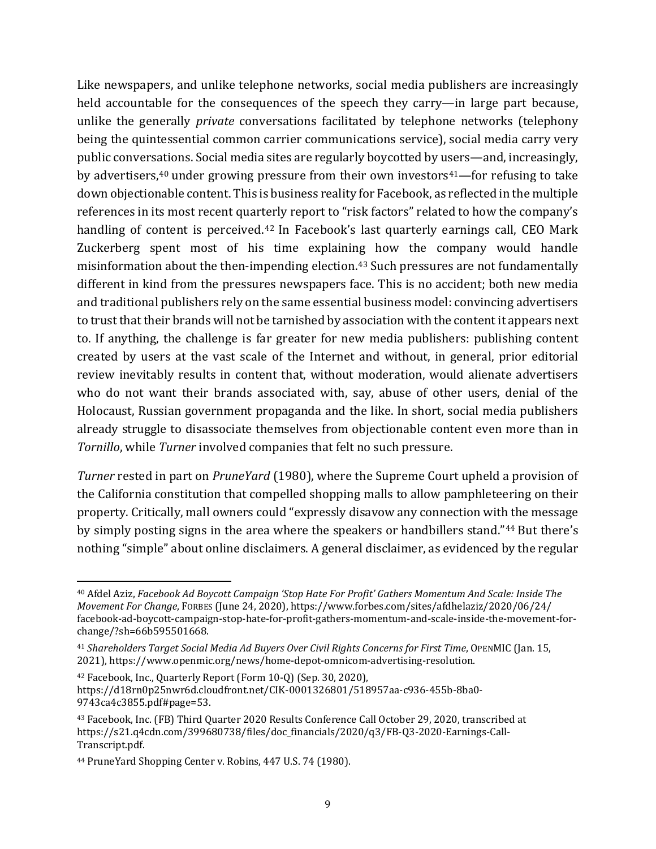Like newspapers, and unlike telephone networks, social media publishers are increasingly held accountable for the consequences of the speech they carry—in large part because, unlike the generally *private* conversations facilitated by telephone networks (telephony being the quintessential common carrier communications service), social media carry very public conversations. Social media sites are regularly boycotted by users—and, increasingly, by advertisers,<sup>[40](#page-8-0)</sup> under growing pressure from their own investors<sup>[41](#page-8-1)</sup>—for refusing to take down objectionable content. This is business reality for Facebook, as reflected in the multiple references in its most recent quarterly report to "risk factors" related to how the company's handling of content is perceived.<sup>[42](#page-8-2)</sup> In Facebook's last quarterly earnings call, CEO Mark Zuckerberg spent most of his time explaining how the company would handle misinformation about the then-impending election.<sup>[43](#page-8-3)</sup> Such pressures are not fundamentally different in kind from the pressures newspapers face. This is no accident; both new media and traditional publishers rely on the same essential business model: convincing advertisers to trust that their brands will not be tarnished by association with the content it appears next to. If anything, the challenge is far greater for new media publishers: publishing content created by users at the vast scale of the Internet and without, in general, prior editorial review inevitably results in content that, without moderation, would alienate advertisers who do not want their brands associated with, say, abuse of other users, denial of the Holocaust, Russian government propaganda and the like. In short, social media publishers already struggle to disassociate themselves from objectionable content even more than in *Tornillo*, while *Turner* involved companies that felt no such pressure.

*Turner* rested in part on *PruneYard* (1980), where the Supreme Court upheld a provision of the California constitution that compelled shopping malls to allow pamphleteering on their property. Critically, mall owners could "expressly disavow any connection with the message by simply posting signs in the area where the speakers or handbillers stand."[44](#page-8-4) But there's nothing "simple" about online disclaimers. A general disclaimer, as evidenced by the regular

<span id="page-8-0"></span><sup>40</sup> Afdel Aziz, *Facebook Ad Boycott Campaign 'Stop Hate For Profit' Gathers Momentum And Scale: Inside The Movement For Change*, FORBES (June 24, 2020), https://www.forbes.com/sites/afdhelaziz/2020/06/24/ facebook-ad-boycott-campaign-stop-hate-for-profit-gathers-momentum-and-scale-inside-the-movement-forchange/?sh=66b595501668.

<span id="page-8-1"></span><sup>41</sup> *Shareholders Target Social Media Ad Buyers Over Civil Rights Concerns for First Time*, OPENMIC (Jan. 15, 2021), [https://www.openmic.org/news/home-depot-omnicom-advertising-resolution.](https://www.openmic.org/news/home-depot-omnicom-advertising-resolution) 

<span id="page-8-2"></span><sup>42</sup> Facebook, Inc., Quarterly Report (Form 10-Q) (Sep. 30, 2020), https://d18rn0p25nwr6d.cloudfront.net/CIK-0001326801/518957aa-c936-455b-8ba0- 9743ca4c3855.pdf#page=53.

<span id="page-8-3"></span><sup>43</sup> Facebook, Inc. (FB) Third Quarter 2020 Results Conference Call October 29, 2020, transcribed at https://s21.q4cdn.com/399680738/files/doc\_financials/2020/q3/FB-Q3-2020-Earnings-Call-Transcript.pdf.

<span id="page-8-4"></span><sup>44</sup> PruneYard Shopping Center v. Robins, 447 U.S. 74 (1980).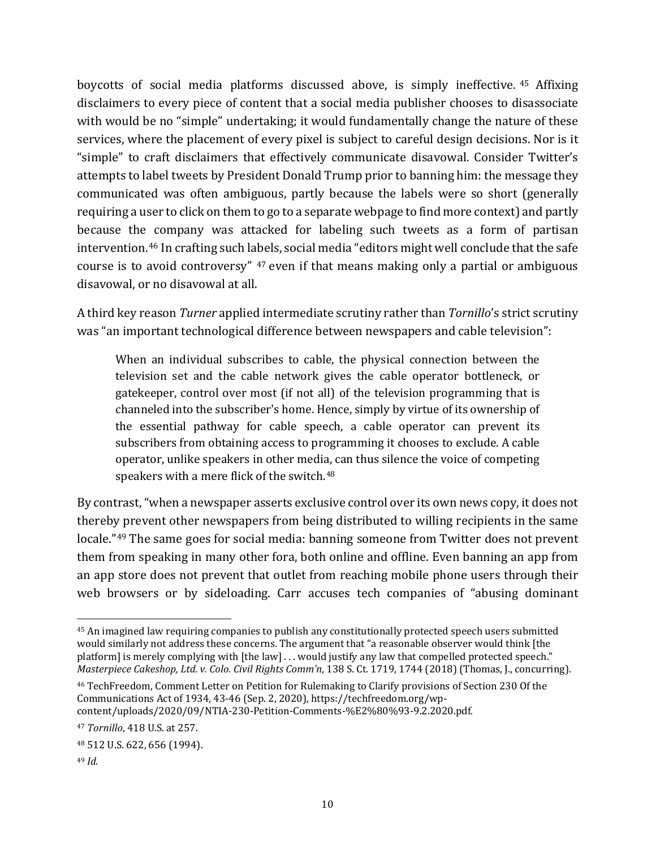boycotts of social media platforms discussed above, is simply ineffective. [45](#page-9-0) Affixing disclaimers to every piece of content that a social media publisher chooses to disassociate with would be no "simple" undertaking; it would fundamentally change the nature of these services, where the placement of every pixel is subject to careful design decisions. Nor is it "simple" to craft disclaimers that effectively communicate disavowal. Consider Twitter's attempts to label tweets by President Donald Trump prior to banning him: the message they communicated was often ambiguous, partly because the labels were so short (generally requiring a user to click on them to go to a separate webpage to find more context) and partly because the company was attacked for labeling such tweets as a form of partisan intervention. [46](#page-9-1) In crafting such labels, social media "editors might well conclude that the safe course is to avoid controversy" [47](#page-9-2) even if that means making only a partial or ambiguous disavowal, or no disavowal at all.

A third key reason *Turner* applied intermediate scrutiny rather than *Tornillo*'s strict scrutiny was "an important technological difference between newspapers and cable television":

When an individual subscribes to cable, the physical connection between the television set and the cable network gives the cable operator bottleneck, or gatekeeper, control over most (if not all) of the television programming that is channeled into the subscriber's home. Hence, simply by virtue of its ownership of the essential pathway for cable speech, a cable operator can prevent its subscribers from obtaining access to programming it chooses to exclude. A cable operator, unlike speakers in other media, can thus silence the voice of competing speakers with a mere flick of the switch.<sup>[48](#page-9-3)</sup>

By contrast, "when a newspaper asserts exclusive control over its own news copy, it does not thereby prevent other newspapers from being distributed to willing recipients in the same locale."[49](#page-9-4) The same goes for social media: banning someone from Twitter does not prevent them from speaking in many other fora, both online and offline. Even banning an app from an app store does not prevent that outlet from reaching mobile phone users through their web browsers or by sideloading. Carr accuses tech companies of "abusing dominant

<span id="page-9-0"></span><sup>45</sup> An imagined law requiring companies to publish any constitutionally protected speech users submitted would similarly not address these concerns. The argument that "a reasonable observer would think [the platform] is merely complying with [the law] . . . would justify any law that compelled protected speech." *Masterpiece Cakeshop, Ltd. v. Colo. Civil Rights Comm'n*, 138 S. Ct. 1719, 1744 (2018) (Thomas, J., concurring).

<span id="page-9-1"></span><sup>46</sup> TechFreedom, Comment Letter on Petition for Rulemaking to Clarify provisions of Section 230 Of the Communications Act of 1934, 43-46 (Sep. 2, 2020), https://techfreedom.org/wpcontent/uploads/2020/09/NTIA-230-Petition-Comments-%E2%80%93-9.2.2020.pdf.

<span id="page-9-2"></span><sup>47</sup> *Tornillo*, 418 U.S. at 257.

<span id="page-9-3"></span><sup>48</sup> 512 U.S. 622, 656 (1994).

<span id="page-9-4"></span><sup>49</sup> *Id.*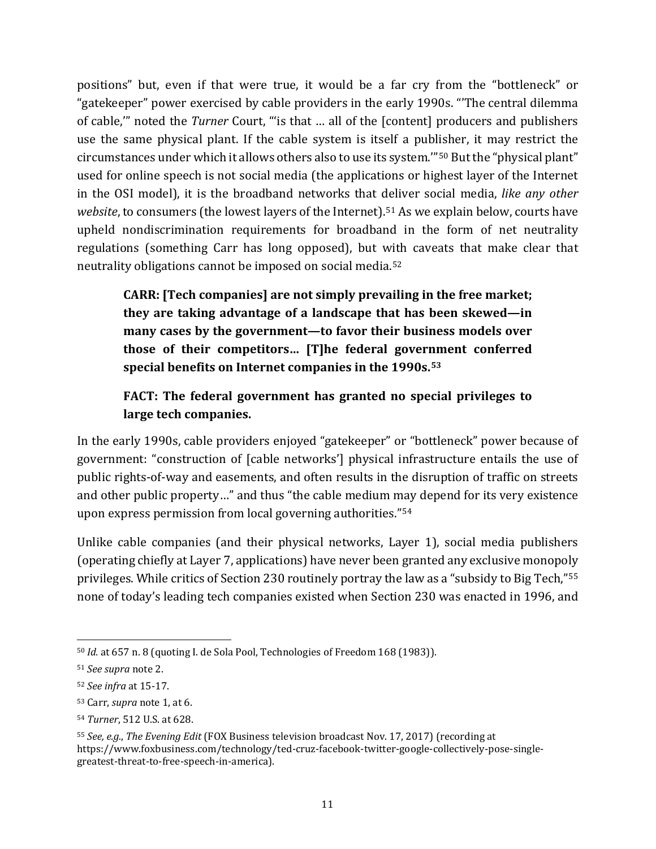positions" but, even if that were true, it would be a far cry from the "bottleneck" or "gatekeeper" power exercised by cable providers in the early 1990s. "'The central dilemma of cable,'" noted the *Turner* Court, "'is that … all of the [content] producers and publishers use the same physical plant. If the cable system is itself a publisher, it may restrict the circumstances under which it allows others also to use its system.'"[50](#page-10-0) But the "physical plant" used for online speech is not social media (the applications or highest layer of the Internet in the OSI model), it is the broadband networks that deliver social media, *like any other website*, to consumers (the lowest layers of the Internet). [51](#page-10-1) As we explain below, courts have upheld nondiscrimination requirements for broadband in the form of net neutrality regulations (something Carr has long opposed), but with caveats that make clear that neutrality obligations cannot be imposed on social media.[52](#page-10-2)

**CARR: [Tech companies] are not simply prevailing in the free market; they are taking advantage of a landscape that has been skewed—in many cases by the government—to favor their business models over those of their competitors… [T]he federal government conferred special benefits on Internet companies in the 1990s.[53](#page-10-3)**

# **FACT: The federal government has granted no special privileges to large tech companies.**

In the early 1990s, cable providers enjoyed "gatekeeper" or "bottleneck" power because of government: "construction of [cable networks'] physical infrastructure entails the use of public rights-of-way and easements, and often results in the disruption of traffic on streets and other public property…" and thus "the cable medium may depend for its very existence upon express permission from local governing authorities."[54](#page-10-4)

Unlike cable companies (and their physical networks, Layer 1), social media publishers (operating chiefly at Layer 7, applications) have never been granted any exclusive monopoly privileges. While critics of Section 230 routinely portray the law as a "subsidy to Big Tech,"[55](#page-10-5) none of today's leading tech companies existed when Section 230 was enacted in 1996, and

<span id="page-10-0"></span><sup>50</sup> *Id.* at 657 n. 8 (quoting I. de Sola Pool, Technologies of Freedom 168 (1983)).

<span id="page-10-1"></span><sup>51</sup> *See supra* note [2.](#page-1-5)

<span id="page-10-2"></span><sup>52</sup> *See infra* at 15[-17.](#page-15-0)

<span id="page-10-3"></span><sup>53</sup> Carr, *supra* note [1,](#page-0-1) at 6.

<span id="page-10-4"></span><sup>54</sup> *Turner*, 512 U.S. at 628.

<span id="page-10-5"></span><sup>55</sup> *See, e.g.*, *The Evening Edit* (FOX Business television broadcast Nov. 17, 2017) (recording at [https://www.foxbusiness.com/technology/ted-cruz-facebook-twitter-google-collectively-pose-single](https://www.foxbusiness.com/technology/ted-cruz-facebook-twitter-google-collectively-pose-single-greatest-threat-to-free-speech-in-america)[greatest-threat-to-free-speech-in-america\)](https://www.foxbusiness.com/technology/ted-cruz-facebook-twitter-google-collectively-pose-single-greatest-threat-to-free-speech-in-america).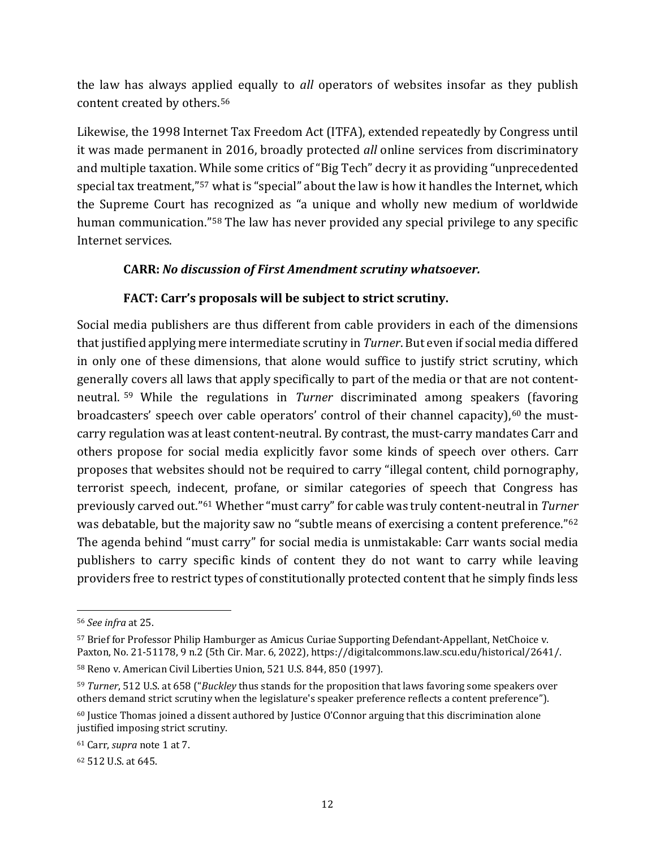the law has always applied equally to *all* operators of websites insofar as they publish content created by others.[56](#page-11-0)

Likewise, the 1998 Internet Tax Freedom Act (ITFA), extended repeatedly by Congress until it was made permanent in 2016, broadly protected *all* online services from discriminatory and multiple taxation. While some critics of "Big Tech" decry it as providing "unprecedented special tax treatment,"[57](#page-11-1) what is "special" about the law is how it handles the Internet, which the Supreme Court has recognized as "a unique and wholly new medium of worldwide human communication."[58](#page-11-2) The law has never provided any special privilege to any specific Internet services.

### **CARR:** *No discussion of First Amendment scrutiny whatsoever.*

### **FACT: Carr's proposals will be subject to strict scrutiny.**

Social media publishers are thus different from cable providers in each of the dimensions that justified applying mere intermediate scrutiny in *Turner*. But even if social media differed in only one of these dimensions, that alone would suffice to justify strict scrutiny, which generally covers all laws that apply specifically to part of the media or that are not contentneutral. [59](#page-11-3) While the regulations in *Turner* discriminated among speakers (favoring broadcasters' speech over cable operators' control of their channel capacity),<sup>[60](#page-11-4)</sup> the mustcarry regulation was at least content-neutral. By contrast, the must-carry mandates Carr and others propose for social media explicitly favor some kinds of speech over others. Carr proposes that websites should not be required to carry "illegal content, child pornography, terrorist speech, indecent, profane, or similar categories of speech that Congress has previously carved out."[61](#page-11-5) Whether "must carry" for cable was truly content-neutral in *Turner*  was debatable, but the majority saw no "subtle means of exercising a content preference."<sup>[62](#page-11-6)</sup> The agenda behind "must carry" for social media is unmistakable: Carr wants social media publishers to carry specific kinds of content they do not want to carry while leaving providers free to restrict types of constitutionally protected content that he simply finds less

<span id="page-11-0"></span><sup>56</sup> *See infra* a[t 25.](#page-23-0)

<span id="page-11-1"></span><sup>57</sup> Brief for Professor Philip Hamburger as Amicus Curiae Supporting Defendant-Appellant, NetChoice v. Paxton, No. 21-51178, 9 n.2 (5th Cir. Mar. 6, 2022), https://digitalcommons.law.scu.edu/historical/2641/.

<span id="page-11-7"></span><span id="page-11-2"></span><sup>58</sup> Reno v. American Civil Liberties Union, 521 U.S. 844, 850 (1997).

<span id="page-11-3"></span><sup>59</sup> *Turner*, 512 U.S. at 658 ("*Buckley* thus stands for the proposition that laws favoring some speakers over others demand strict scrutiny when the legislature's speaker preference reflects a content preference").

<span id="page-11-4"></span> $60$  Justice Thomas joined a dissent authored by Justice O'Connor arguing that this discrimination alone justified imposing strict scrutiny.

<span id="page-11-5"></span><sup>61</sup> Carr, *supra* note [1](#page-0-1) at 7.

<span id="page-11-6"></span><sup>62</sup> 512 U.S. at 645.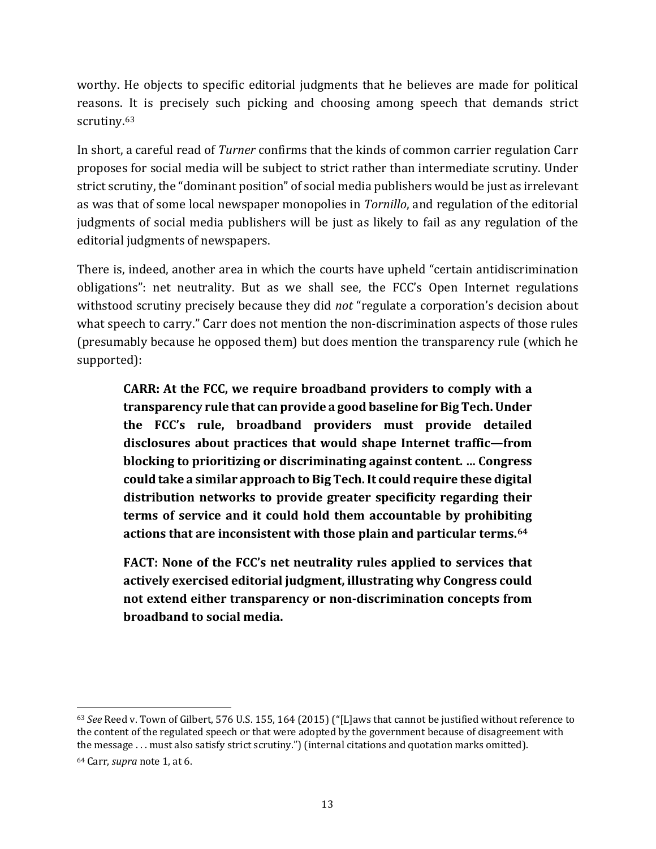worthy. He objects to specific editorial judgments that he believes are made for political reasons. It is precisely such picking and choosing among speech that demands strict scrutiny.<sup>[63](#page-12-0)</sup>

In short, a careful read of *Turner* confirms that the kinds of common carrier regulation Carr proposes for social media will be subject to strict rather than intermediate scrutiny. Under strict scrutiny, the "dominant position" of social media publishers would be just as irrelevant as was that of some local newspaper monopolies in *Tornillo*, and regulation of the editorial judgments of social media publishers will be just as likely to fail as any regulation of the editorial judgments of newspapers.

There is, indeed, another area in which the courts have upheld "certain antidiscrimination obligations": net neutrality. But as we shall see, the FCC's Open Internet regulations withstood scrutiny precisely because they did *not* "regulate a corporation's decision about what speech to carry." Carr does not mention the non-discrimination aspects of those rules (presumably because he opposed them) but does mention the transparency rule (which he supported):

**CARR: At the FCC, we require broadband providers to comply with a transparency rule that can provide a good baseline for Big Tech. Under the FCC's rule, broadband providers must provide detailed disclosures about practices that would shape Internet traffic—from blocking to prioritizing or discriminating against content. … Congress could take a similar approach to Big Tech. It could require these digital distribution networks to provide greater specificity regarding their terms of service and it could hold them accountable by prohibiting actions that are inconsistent with those plain and particular terms.[64](#page-12-1)**

**FACT: None of the FCC's net neutrality rules applied to services that actively exercised editorial judgment, illustrating why Congress could not extend either transparency or non-discrimination concepts from broadband to social media.**

<span id="page-12-0"></span><sup>63</sup> *See* Reed v. Town of Gilbert, 576 U.S. 155, 164 (2015) ("[L]aws that cannot be justified without reference to the content of the regulated speech or that were adopted by the government because of disagreement with the message . . . must also satisfy strict scrutiny.") (internal citations and quotation marks omitted).

<span id="page-12-1"></span><sup>64</sup> Carr, *supra* note [1,](#page-0-1) at 6.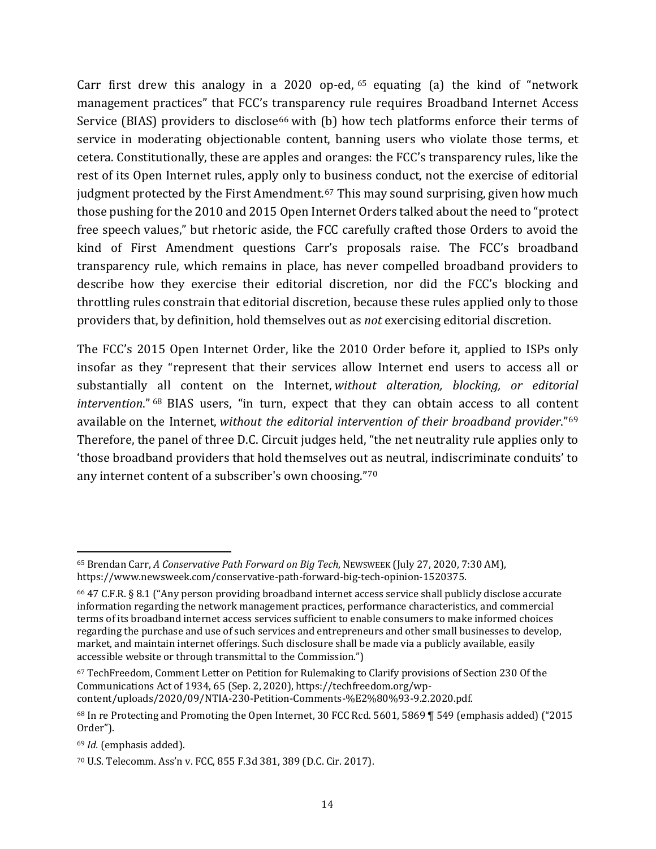Carr first drew this analogy in a 2020 op-ed,  $65$  equating (a) the kind of "network management practices" that FCC's transparency rule requires Broadband Internet Access Service (BIAS) providers to disclose<sup>[66](#page-13-1)</sup> with (b) how tech platforms enforce their terms of service in moderating objectionable content, banning users who violate those terms, et cetera. Constitutionally, these are apples and oranges: the FCC's transparency rules, like the rest of its Open Internet rules, apply only to business conduct, not the exercise of editorial judgment protected by the First Amendment.<sup>[67](#page-13-2)</sup> This may sound surprising, given how much those pushing for the 2010 and 2015 Open Internet Orders talked about the need to "protect free speech values," but rhetoric aside, the FCC carefully crafted those Orders to avoid the kind of First Amendment questions Carr's proposals raise. The FCC's broadband transparency rule, which remains in place, has never compelled broadband providers to describe how they exercise their editorial discretion, nor did the FCC's blocking and throttling rules constrain that editorial discretion, because these rules applied only to those providers that, by definition, hold themselves out as *not* exercising editorial discretion.

The FCC's 2015 Open Internet Order, like the 2010 Order before it, applied to ISPs only insofar as they "represent that their services allow Internet end users to access all or substantially all content on the Internet, *without alteration, blocking, or editorial intervention*." [68](#page-13-3) BIAS users, "in turn, expect that they can obtain access to all content available on the Internet, *without the editorial intervention of their broadband provider*."[69](#page-13-4) Therefore, the panel of three D.C. Circuit judges held, "the net neutrality rule applies only to 'those broadband providers that hold themselves out as neutral, indiscriminate conduits' to any internet content of a subscriber's own choosing."[70](#page-13-5)

<span id="page-13-0"></span><sup>65</sup> Brendan Carr, *A Conservative Path Forward on Big Tech*, NEWSWEEK (July 27, 2020, 7:30 AM[\),](https://www.newsweek.com/conservative-path-forward-big-tech-opinion-1520375) [https://www.newsweek.com/conservative-path-forward-big-tech-opinion-1520375.](https://www.newsweek.com/conservative-path-forward-big-tech-opinion-1520375) 

<span id="page-13-1"></span><sup>66</sup> 47 C.F.R. § 8.1 ("Any person providing broadband internet access service shall publicly disclose accurate information regarding the network management practices, performance characteristics, and commercial terms of its broadband internet access services sufficient to enable consumers to make informed choices regarding the purchase and use of such services and entrepreneurs and other small businesses to develop, market, and maintain internet offerings. Such disclosure shall be made via a publicly available, easily accessible website or through transmittal to the Commission.")

<span id="page-13-6"></span><span id="page-13-2"></span><sup>67</sup> TechFreedom, Comment Letter on Petition for Rulemaking to Clarify provisions of Section 230 Of the Communications Act of 1934, 65 (Sep. 2, 2020), https://techfreedom.org/wpcontent/uploads/2020/09/NTIA-230-Petition-Comments-%E2%80%93-9.2.2020.pdf.

<span id="page-13-3"></span><sup>68</sup> In re Protecting and Promoting the Open Internet, 30 FCC Rcd. 5601, 5869 ¶ 549 (emphasis added) ("2015 Order").

<span id="page-13-4"></span><sup>69</sup> *Id.* (emphasis added).

<span id="page-13-5"></span><sup>70</sup> U.S. Telecomm. Ass'n v. FCC, 855 F.3d 381, 389 (D.C. Cir. 2017).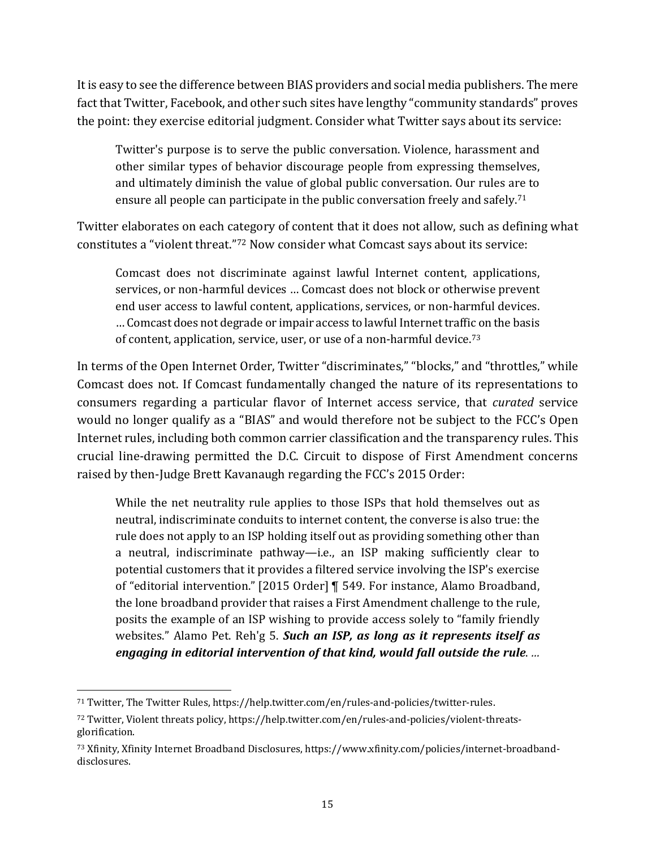It is easy to see the difference between BIAS providers and social media publishers. The mere fact that Twitter, Facebook, and other such sites have lengthy "community standards" proves the point: they exercise editorial judgment. Consider what Twitter says about its service:

Twitter's purpose is to serve the public conversation. Violence, harassment and other similar types of behavior discourage people from expressing themselves, and ultimately diminish the value of global public conversation. Our rules are to ensure all people can participate in the public conversation freely and safely.<sup>[71](#page-14-0)</sup>

Twitter elaborates on each category of content that it does not allow, such as defining what constitutes a "violent threat."[72](#page-14-1) Now consider what Comcast says about its service:

Comcast does not discriminate against lawful Internet content, applications, services, or non-harmful devices … Comcast does not block or otherwise prevent end user access to lawful content, applications, services, or non-harmful devices. … Comcast does not degrade or impair access to lawful Internet traffic on the basis of content, application, service, user, or use of a non-harmful device.[73](#page-14-2)

In terms of the Open Internet Order, Twitter "discriminates," "blocks," and "throttles," while Comcast does not. If Comcast fundamentally changed the nature of its representations to consumers regarding a particular flavor of Internet access service, that *curated* service would no longer qualify as a "BIAS" and would therefore not be subject to the FCC's Open Internet rules, including both common carrier classification and the transparency rules. This crucial line-drawing permitted the D.C. Circuit to dispose of First Amendment concerns raised by then-Judge Brett Kavanaugh regarding the FCC's 2015 Order:

While the net neutrality rule applies to those ISPs that hold themselves out as neutral, indiscriminate conduits to internet content, the converse is also true: the rule does not apply to an ISP holding itself out as providing something other than a neutral, indiscriminate pathway—i.e., an ISP making sufficiently clear to potential customers that it provides a filtered service involving the ISP's exercise of "editorial intervention." [2015 Order] ¶ 549. For instance, Alamo Broadband, the lone broadband provider that raises a First Amendment challenge to the rule, posits the example of an ISP wishing to provide access solely to "family friendly websites." Alamo Pet. Reh'g 5. *Such an ISP, as long as it represents itself as engaging in editorial intervention of that kind, would fall outside the rule*. *…* 

<span id="page-14-0"></span><sup>71</sup> Twitter, The Twitter Rules[, https://help.twitter.com/en/rules-and-policies/twitter-rules.](https://help.twitter.com/en/rules-and-policies/twitter-rules)

<span id="page-14-1"></span><sup>72</sup> Twitter, Violent threats policy, https://help.twitter.com/en/rules-and-policies/violent-threatsglorification.

<span id="page-14-2"></span><sup>73</sup> Xfinity, Xfinity Internet Broadband Disclosures, [https://www.xfinity.com/policies/internet-broadband](https://www.xfinity.com/policies/internet-broadband-disclosures)[disclosures.](https://www.xfinity.com/policies/internet-broadband-disclosures)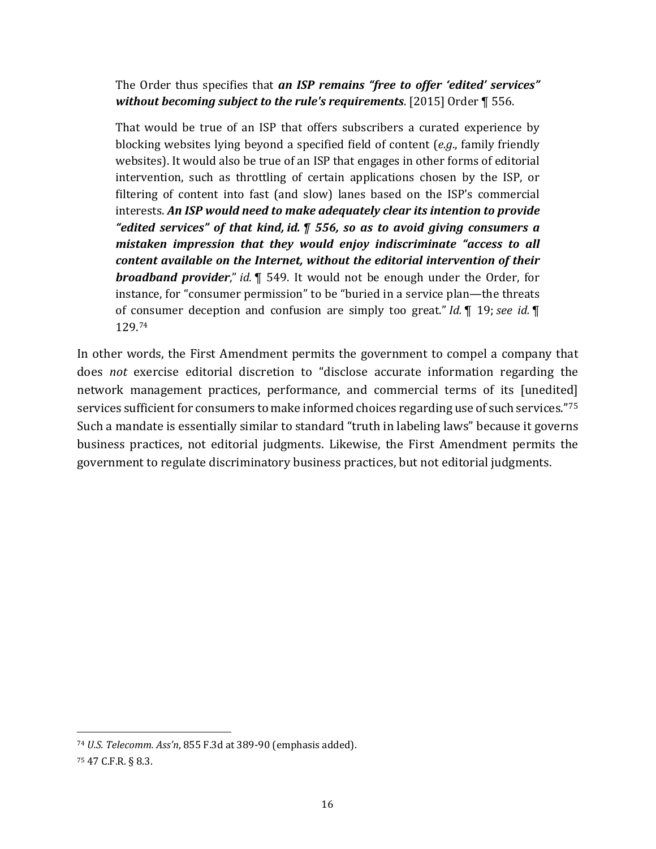The Order thus specifies that *an ISP remains "free to offer 'edited' services" without becoming subject to the rule's requirements*. [2015] Order ¶ 556.

That would be true of an ISP that offers subscribers a curated experience by blocking websites lying beyond a specified field of content (*e.g*., family friendly websites). It would also be true of an ISP that engages in other forms of editorial intervention, such as throttling of certain applications chosen by the ISP, or filtering of content into fast (and slow) lanes based on the ISP's commercial interests. *An ISP would need to make adequately clear its intention to provide "edited services" of that kind, id. ¶ 556, so as to avoid giving consumers a mistaken impression that they would enjoy indiscriminate "access to all content available on the Internet, without the editorial intervention of their broadband provider*," *id.* ¶ 549. It would not be enough under the Order, for instance, for "consumer permission" to be "buried in a service plan—the threats of consumer deception and confusion are simply too great." *Id.* ¶ 19; *see id.* ¶ 129. [74](#page-15-1)

In other words, the First Amendment permits the government to compel a company that does *not* exercise editorial discretion to "disclose accurate information regarding the network management practices, performance, and commercial terms of its [unedited] services sufficient for consumers to make informed choices regarding use of such services."[75](#page-15-2) Such a mandate is essentially similar to standard "truth in labeling laws" because it governs business practices, not editorial judgments. Likewise, the First Amendment permits the government to regulate discriminatory business practices, but not editorial judgments.

<span id="page-15-1"></span><sup>74</sup> *U.S. Telecomm. Ass'n*, 855 F.3d at 389-90 (emphasis added).

<span id="page-15-2"></span><span id="page-15-0"></span><sup>75</sup> 47 C.F.R. § 8.3.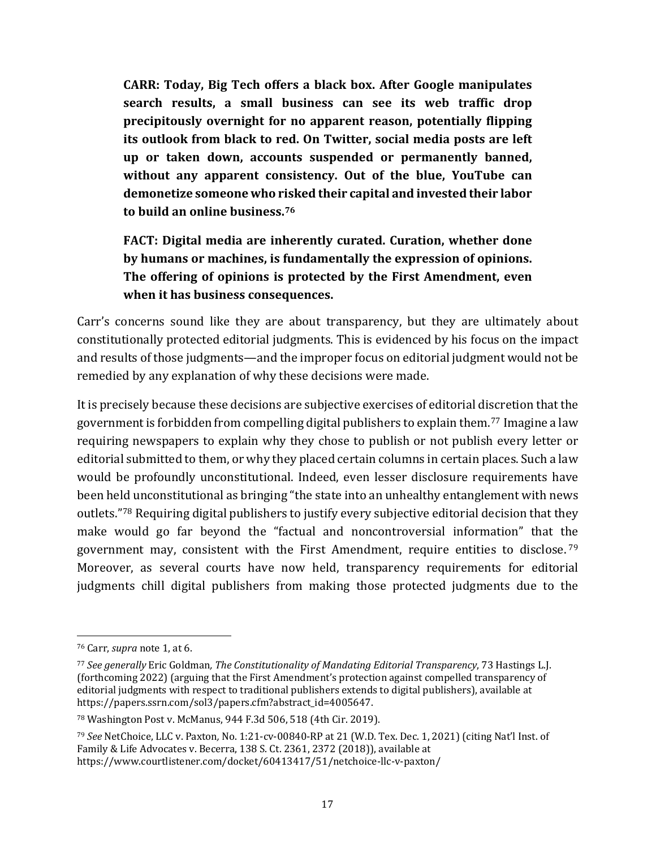**CARR: Today, Big Tech offers a black box. After Google manipulates search results, a small business can see its web traffic drop precipitously overnight for no apparent reason, potentially flipping its outlook from black to red. On Twitter, social media posts are left up or taken down, accounts suspended or permanently banned, without any apparent consistency. Out of the blue, YouTube can demonetize someone who risked their capital and invested their labor to build an online business.[76](#page-16-0)**

**FACT: Digital media are inherently curated. Curation, whether done by humans or machines, is fundamentally the expression of opinions. The offering of opinions is protected by the First Amendment, even when it has business consequences.**

Carr's concerns sound like they are about transparency, but they are ultimately about constitutionally protected editorial judgments. This is evidenced by his focus on the impact and results of those judgments—and the improper focus on editorial judgment would not be remedied by any explanation of why these decisions were made.

It is precisely because these decisions are subjective exercises of editorial discretion that the government is forbidden from compelling digital publishers to explain them.[77](#page-16-1) Imagine a law requiring newspapers to explain why they chose to publish or not publish every letter or editorial submitted to them, or why they placed certain columns in certain places. Such a law would be profoundly unconstitutional. Indeed, even lesser disclosure requirements have been held unconstitutional as bringing "the state into an unhealthy entanglement with news outlets."[78](#page-16-2) Requiring digital publishers to justify every subjective editorial decision that they make would go far beyond the "factual and noncontroversial information" that the government may, consistent with the First Amendment, require entities to disclose. [79](#page-16-3) Moreover, as several courts have now held, transparency requirements for editorial judgments chill digital publishers from making those protected judgments due to the

<span id="page-16-0"></span><sup>76</sup> Carr, *supra* note [1,](#page-0-1) at 6.

<span id="page-16-1"></span><sup>77</sup> *See generally* Eric Goldman*, The Constitutionality of Mandating Editorial Transparency*, 73 Hastings L.J. (forthcoming 2022) (arguing that the First Amendment's protection against compelled transparency of editorial judgments with respect to traditional publishers extends to digital publishers), available at https://papers.ssrn.com/sol3/papers.cfm?abstract\_id=4005647.

<span id="page-16-2"></span><sup>78</sup> Washington Post v. McManus, 944 F.3d 506, 518 (4th Cir. 2019).

<span id="page-16-3"></span><sup>79</sup> *See* NetChoice, LLC v. Paxton*,* No. 1:21-cv-00840-RP at 21 (W.D. Tex. Dec. 1, 2021) (citing Nat'l Inst. of Family & Life Advocates v. Becerra, 138 S. Ct. 2361, 2372 (2018)), available at https://www.courtlistener.com/docket/60413417/51/netchoice-llc-v-paxton/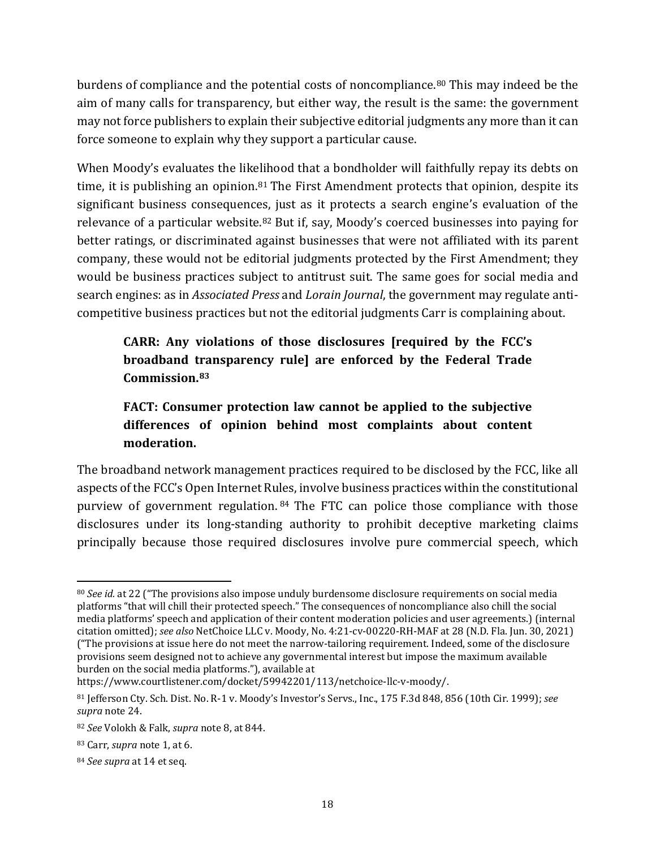burdens of compliance and the potential costs of noncompliance.<sup>[80](#page-17-0)</sup> This may indeed be the aim of many calls for transparency, but either way, the result is the same: the government may not force publishers to explain their subjective editorial judgments any more than it can force someone to explain why they support a particular cause.

When Moody's evaluates the likelihood that a bondholder will faithfully repay its debts on time, it is publishing an opinion.<sup>[81](#page-17-1)</sup> The First Amendment protects that opinion, despite its significant business consequences, just as it protects a search engine's evaluation of the relevance of a particular website.<sup>[82](#page-17-2)</sup> But if, say, Moody's coerced businesses into paying for better ratings, or discriminated against businesses that were not affiliated with its parent company, these would not be editorial judgments protected by the First Amendment; they would be business practices subject to antitrust suit. The same goes for social media and search engines: as in *Associated Press* and *Lorain Journal*, the government may regulate anticompetitive business practices but not the editorial judgments Carr is complaining about.

**CARR: Any violations of those disclosures [required by the FCC's broadband transparency rule] are enforced by the Federal Trade Commission.[83](#page-17-3)**

# **FACT: Consumer protection law cannot be applied to the subjective differences of opinion behind most complaints about content moderation.**

The broadband network management practices required to be disclosed by the FCC, like all aspects of the FCC's Open Internet Rules, involve business practices within the constitutional purview of government regulation. [84](#page-17-4) The FTC can police those compliance with those disclosures under its long-standing authority to prohibit deceptive marketing claims principally because those required disclosures involve pure commercial speech, which

<span id="page-17-0"></span><sup>80</sup> *See id.* at 22 ("The provisions also impose unduly burdensome disclosure requirements on social media platforms "that will chill their protected speech." The consequences of noncompliance also chill the social media platforms' speech and application of their content moderation policies and user agreements.) (internal citation omitted); *see also* NetChoice LLC v. Moody, No. 4:21-cv-00220-RH-MAF at 28 (N.D. Fla. Jun. 30, 2021) ("The provisions at issue here do not meet the narrow-tailoring requirement. Indeed, some of the disclosure provisions seem designed not to achieve any governmental interest but impose the maximum available burden on the social media platforms."), available at

https://www.courtlistener.com/docket/59942201/113/netchoice-llc-v-moody/.

<span id="page-17-1"></span><sup>81</sup> Jefferson Cty. Sch. Dist. No. R-1 v. Moody's Investor's Servs., Inc., 175 F.3d 848, 856 (10th Cir. 1999); *see supra* not[e 24.](#page-5-5)

<span id="page-17-2"></span><sup>82</sup> *See* Volokh & Falk, *supra* not[e 8,](#page-2-4) at 844.

<span id="page-17-3"></span><sup>83</sup> Carr, *supra* note [1,](#page-0-1) at 6.

<span id="page-17-4"></span><sup>84</sup> *See supra* at [14](#page-13-6) et seq.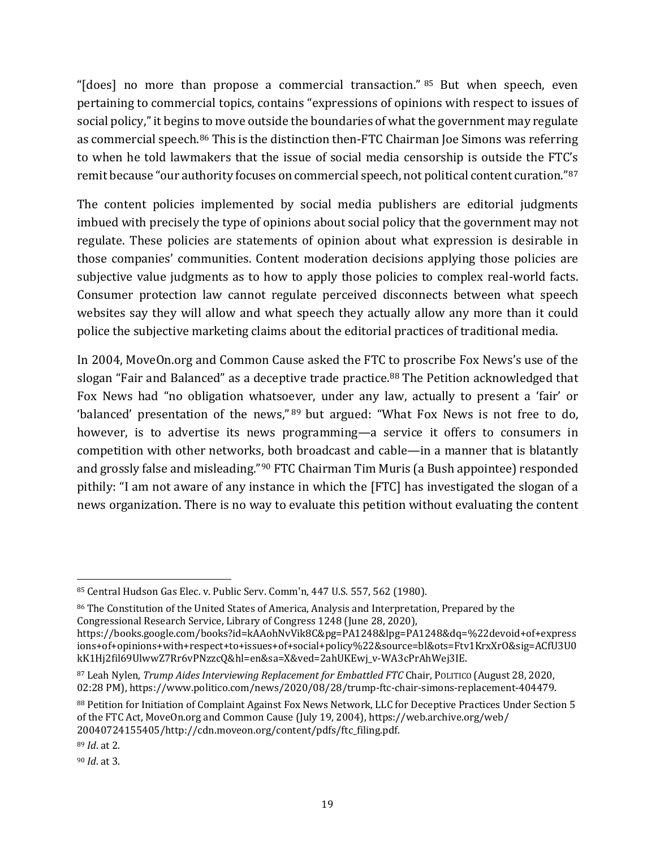"[does] no more than propose a commercial transaction." [85](#page-18-0) But when speech, even pertaining to commercial topics, contains "expressions of opinions with respect to issues of social policy," it begins to move outside the boundaries of what the government may regulate as commercial speech.[86](#page-18-1) This is the distinction then-FTC Chairman Joe Simons was referring to when he told lawmakers that the issue of social media censorship is outside the FTC's remit because "our authority focuses on commercial speech, not political content curation."[87](#page-18-2)

The content policies implemented by social media publishers are editorial judgments imbued with precisely the type of opinions about social policy that the government may not regulate. These policies are statements of opinion about what expression is desirable in those companies' communities. Content moderation decisions applying those policies are subjective value judgments as to how to apply those policies to complex real-world facts. Consumer protection law cannot regulate perceived disconnects between what speech websites say they will allow and what speech they actually allow any more than it could police the subjective marketing claims about the editorial practices of traditional media.

In 2004, MoveOn.org and Common Cause asked the FTC to proscribe Fox News's use of the slogan "Fair and Balanced" as a deceptive trade practice.<sup>[88](#page-18-3)</sup> The Petition acknowledged that Fox News had "no obligation whatsoever, under any law, actually to present a 'fair' or 'balanced' presentation of the news," [89](#page-18-4) but argued: "What Fox News is not free to do, however, is to advertise its news programming—a service it offers to consumers in competition with other networks, both broadcast and cable—in a manner that is blatantly and grossly false and misleading."[90](#page-18-5) FTC Chairman Tim Muris (a Bush appointee) responded pithily: "I am not aware of any instance in which the [FTC] has investigated the slogan of a news organization. There is no way to evaluate this petition without evaluating the content

<span id="page-18-1"></span><sup>86</sup> The Constitution of the United States of America, Analysis and Interpretation, Prepared by the Congressional Research Service, Library of Congress 1248 (June 28, 2020), https://books.google.com/books?id=kAAohNvVik8C&pg=PA1248&lpg=PA1248&dq=%22devoid+of+express

<span id="page-18-0"></span><sup>85</sup> Central Hudson Gas Elec. v. Public Serv. Comm'n, 447 U.S. 557, 562 (1980).

ions+of+opinions+with+respect+to+issues+of+social+policy%22&source=bl&ots=Ftv1KrxXrO&sig=ACfU3U0 kK1Hj2fil69UlwwZ7Rr6vPNzzcQ&hl=en&sa=X&ved=2ahUKEwj\_v-WA3cPrAhWej3IE.

<span id="page-18-2"></span><sup>87</sup> Leah Nylen, *Trump Aides Interviewing Replacement for Embattled FTC* Chair, POLITICO (August 28, 2020, 02:28 PM), https://www.politico.com/news/2020/08/28/trump-ftc-chair-simons-replacement-404479.

<span id="page-18-3"></span><sup>88</sup> Petition for Initiation of Complaint Against Fox News Network, LLC for Deceptive Practices Under Section 5 of the FTC Act, MoveOn.org and Common Cause (July 19, 2004), [https://web.archive.org/web/](https://web.archive.org/web/%2020040724155405/http:/cdn.moveon.org/content/pdfs/ftc_filing.pdf)  [20040724155405/http://cdn.moveon.org/content/pdfs/ftc\\_filing.pdf.](https://web.archive.org/web/%2020040724155405/http:/cdn.moveon.org/content/pdfs/ftc_filing.pdf)

<span id="page-18-4"></span><sup>89</sup> *Id*. at 2.

<span id="page-18-5"></span><sup>90</sup> *Id*. at 3.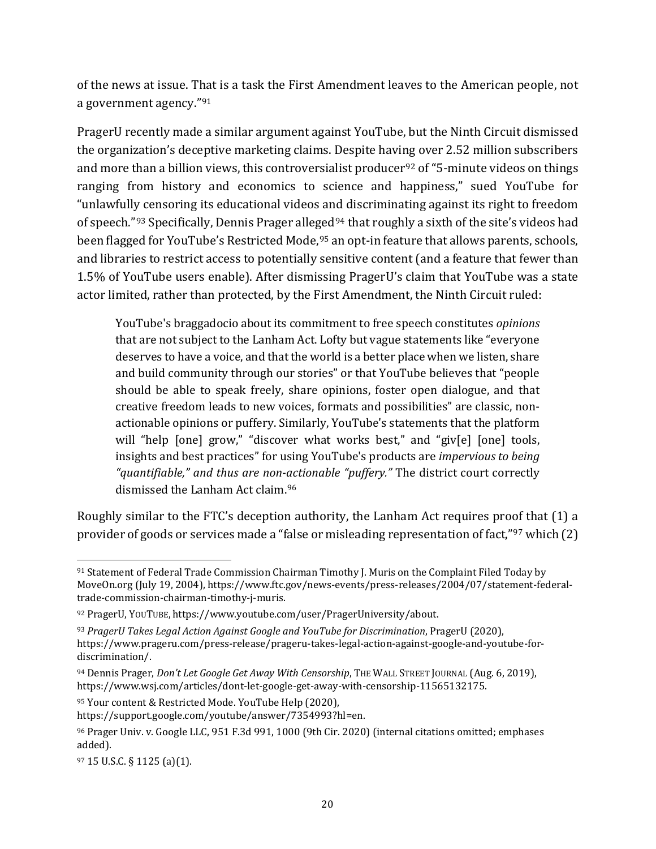of the news at issue. That is a task the First Amendment leaves to the American people, not a government agency."[91](#page-19-0)

PragerU recently made a similar argument against YouTube, but the Ninth Circuit dismissed the organization's deceptive marketing claims. Despite having over 2.52 million subscribers and more than a billion views, this controversialist producer<sup>[92](#page-19-1)</sup> of "5-minute videos on things ranging from history and economics to science and happiness," sued YouTube for "unlawfully censoring its educational videos and discriminating against its right to freedom of speech."<sup>[93](#page-19-2)</sup> Specifically, Dennis Prager alleged<sup>[94](#page-19-3)</sup> that roughly a sixth of the site's videos had been flagged for YouTube's Restricted Mode, [95](#page-19-4) an opt-in feature that allows parents, schools, and libraries to restrict access to potentially sensitive content (and a feature that fewer than 1.5% of YouTube users enable). After dismissing PragerU's claim that YouTube was a state actor limited, rather than protected, by the First Amendment, the Ninth Circuit ruled:

YouTube's braggadocio about its commitment to free speech constitutes *opinions*  that are not subject to the Lanham Act. Lofty but vague statements like "everyone deserves to have a voice, and that the world is a better place when we listen, share and build community through our stories" or that YouTube believes that "people should be able to speak freely, share opinions, foster open dialogue, and that creative freedom leads to new voices, formats and possibilities" are classic, nonactionable opinions or puffery. Similarly, YouTube's statements that the platform will "help [one] grow," "discover what works best," and "giv[e] [one] tools, insights and best practices" for using YouTube's products are *impervious to being "quantifiable," and thus are non-actionable "puffery."* The district court correctly dismissed the Lanham Act claim.[96](#page-19-5)

Roughly similar to the FTC's deception authority, the Lanham Act requires proof that (1) a provider of goods or services made a "false or misleading representation of fact,"[97](#page-19-6) which (2)

<span id="page-19-4"></span><sup>95</sup> Your content & Restricted Mode. YouTube Help (2020),

<span id="page-19-0"></span><sup>91</sup> Statement of Federal Trade Commission Chairman Timothy J. Muris on the Complaint Filed Today by MoveOn.org (July 19, 2004), [https://www.ftc.gov/news-events/press-releases/2004/07/statement-federal](https://www.ftc.gov/news-events/press-releases/2004/07/statement-federal-trade-commission-chairman-timothy-j-muris)[trade-commission-chairman-timothy-j-muris.](https://www.ftc.gov/news-events/press-releases/2004/07/statement-federal-trade-commission-chairman-timothy-j-muris) 

<span id="page-19-1"></span><sup>92</sup> PragerU, YOUTUBE, [https://www.youtube.com/user/PragerUniversity/about.](https://www.youtube.com/user/PragerUniversity/about)

<span id="page-19-2"></span><sup>93</sup> *PragerU Takes Legal Action Against Google and YouTube for Discrimination*, PragerU (2020), [https://www.prageru.com/press-release/prageru-takes-legal-action-against-google-and-youtube-for](https://www.prageru.com/press-release/prageru-takes-legal-action-against-google-and-youtube-for-discrimination/)[discrimination/.](https://www.prageru.com/press-release/prageru-takes-legal-action-against-google-and-youtube-for-discrimination/) 

<span id="page-19-3"></span><sup>94</sup> Dennis Prager, *Don't Let Google Get Away With Censorship*, THE WALL STREET JOURNAL (Aug. 6, 2019), [https://www.wsj.com/articles/dont-let-google-get-away-with-censorship-11565132175.](https://www.wsj.com/articles/dont-let-google-get-away-with-censorship-11565132175) 

[https://support.google.com/youtube/answer/7354993?hl=en.](https://support.google.com/youtube/answer/7354993?hl=en)

<span id="page-19-5"></span><sup>96</sup> Prager Univ. v. Google LLC, 951 F.3d 991, 1000 (9th Cir. 2020) (internal citations omitted; emphases added).

<span id="page-19-6"></span><sup>97</sup> 15 U.S.C. § 1125 (a)(1).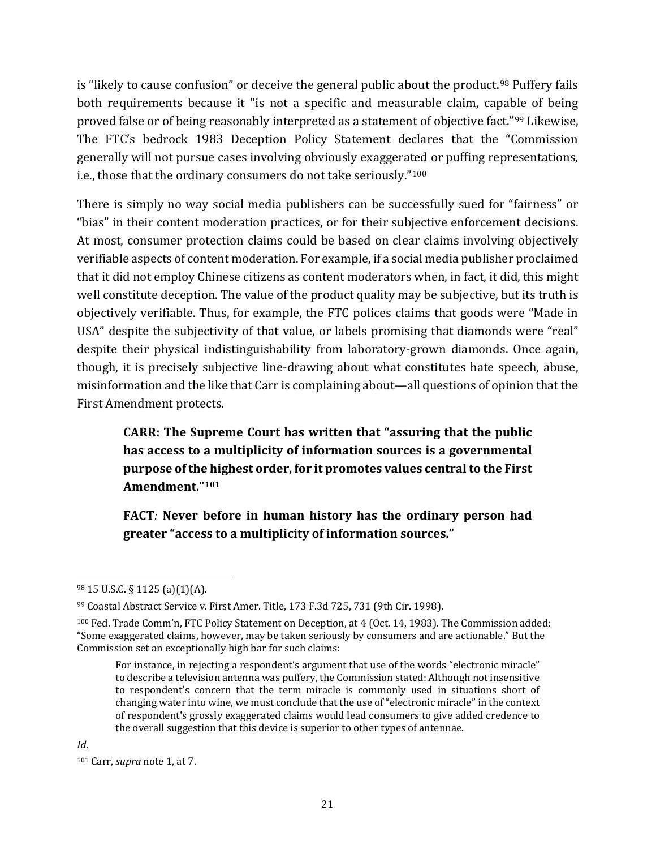is "likely to cause confusion" or deceive the general public about the product.<sup>[98](#page-20-0)</sup> Puffery fails both requirements because it "is not a specific and measurable claim, capable of being proved false or of being reasonably interpreted as a statement of objective fact."[99](#page-20-1) Likewise, The FTC's bedrock 1983 Deception Policy Statement declares that the "Commission generally will not pursue cases involving obviously exaggerated or puffing representations, i.e., those that the ordinary consumers do not take seriously."[100](#page-20-2)

There is simply no way social media publishers can be successfully sued for "fairness" or "bias" in their content moderation practices, or for their subjective enforcement decisions. At most, consumer protection claims could be based on clear claims involving objectively verifiable aspects of content moderation. For example, if a social media publisher proclaimed that it did not employ Chinese citizens as content moderators when, in fact, it did, this might well constitute deception. The value of the product quality may be subjective, but its truth is objectively verifiable. Thus, for example, the FTC polices claims that goods were "Made in USA" despite the subjectivity of that value, or labels promising that diamonds were "real" despite their physical indistinguishability from laboratory-grown diamonds. Once again, though, it is precisely subjective line-drawing about what constitutes hate speech, abuse, misinformation and the like that Carr is complaining about—all questions of opinion that the First Amendment protects.

**CARR: The Supreme Court has written that "assuring that the public has access to a multiplicity of information sources is a governmental purpose of the highest order, for it promotes values central to the First Amendment."[101](#page-20-3)**

**FACT***:* **Never before in human history has the ordinary person had greater "access to a multiplicity of information sources."** 

<span id="page-20-0"></span><sup>98</sup> 15 U.S.C. § 1125 (a)(1)(A).

<span id="page-20-1"></span><sup>99</sup> Coastal Abstract Service v. First Amer. Title, 173 F.3d 725, 731 (9th Cir. 1998).

<span id="page-20-2"></span><sup>100</sup> Fed. Trade Comm'n, FTC Policy Statement on Deception, at 4 (Oct. 14, 1983). The Commission added: "Some exaggerated claims, however, may be taken seriously by consumers and are actionable." But the Commission set an exceptionally high bar for such claims:

For instance, in rejecting a respondent's argument that use of the words "electronic miracle" to describe a television antenna was puffery, the Commission stated: Although not insensitive to respondent's concern that the term miracle is commonly used in situations short of changing water into wine, we must conclude that the use of "electronic miracle" in the context of respondent's grossly exaggerated claims would lead consumers to give added credence to the overall suggestion that this device is superior to other types of antennae.

<span id="page-20-3"></span><sup>101</sup> Carr, *supra* note [1,](#page-0-1) at 7.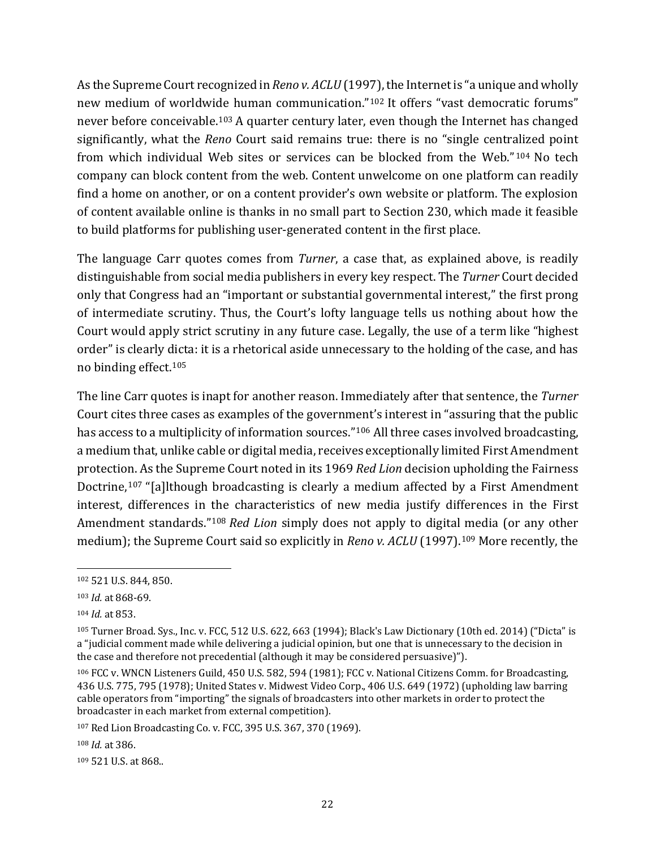As the Supreme Court recognized in *Reno v. ACLU* (1997), the Internet is "a unique and wholly new medium of worldwide human communication."[102](#page-21-0) It offers "vast democratic forums" never before conceivable.[103](#page-21-1) A quarter century later, even though the Internet has changed significantly, what the *Reno* Court said remains true: there is no "single centralized point from which individual Web sites or services can be blocked from the Web." [104](#page-21-2) No tech company can block content from the web. Content unwelcome on one platform can readily find a home on another, or on a content provider's own website or platform. The explosion of content available online is thanks in no small part to Section 230, which made it feasible to build platforms for publishing user-generated content in the first place.

The language Carr quotes comes from *Turner*, a case that, as explained above, is readily distinguishable from social media publishers in every key respect. The *Turner* Court decided only that Congress had an "important or substantial governmental interest," the first prong of intermediate scrutiny. Thus, the Court's lofty language tells us nothing about how the Court would apply strict scrutiny in any future case. Legally, the use of a term like "highest order" is clearly dicta: it is a rhetorical aside unnecessary to the holding of the case, and has no binding effect.[105](#page-21-3)

The line Carr quotes is inapt for another reason. Immediately after that sentence, the *Turner*  Court cites three cases as examples of the government's interest in "assuring that the public has access to a multiplicity of information sources."<sup>[106](#page-21-4)</sup> All three cases involved broadcasting, a medium that, unlike cable or digital media, receives exceptionally limited First Amendment protection. As the Supreme Court noted in its 1969 *Red Lion* decision upholding the Fairness Doctrine,<sup>[107](#page-21-5)</sup> "[a]lthough broadcasting is clearly a medium affected by a First Amendment interest, differences in the characteristics of new media justify differences in the First Amendment standards."[108](#page-21-6) *Red Lion* simply does not apply to digital media (or any other medium); the Supreme Court said so explicitly in *Reno v. ACLU* (1997). [109](#page-21-7) More recently, the

<span id="page-21-0"></span><sup>102</sup> 521 U.S. 844, 850.

<span id="page-21-1"></span><sup>103</sup> *Id.* at 868-69.

<span id="page-21-2"></span><sup>104</sup> *Id.* at 853.

<span id="page-21-3"></span><sup>105</sup> Turner Broad. Sys., Inc. v. FCC, 512 U.S. 622, 663 (1994); Black's Law Dictionary (10th ed. 2014) ("Dicta" is a "judicial comment made while delivering a judicial opinion, but one that is unnecessary to the decision in the case and therefore not precedential (although it may be considered persuasive)").

<span id="page-21-4"></span><sup>106</sup> FCC v. WNCN Listeners Guild, 450 U.S. 582, 594 (1981); FCC v. National Citizens Comm. for Broadcasting, 436 U.S. 775, 795 (1978); United States v. Midwest Video Corp., 406 U.S. 649 (1972) (upholding law barring cable operators from "importing" the signals of broadcasters into other markets in order to protect the broadcaster in each market from external competition).

<span id="page-21-5"></span><sup>107</sup> Red Lion Broadcasting Co. v. FCC, 395 U.S. 367, 370 (1969).

<span id="page-21-6"></span><sup>108</sup> *Id.* at 386.

<span id="page-21-7"></span><sup>109</sup> 521 U.S. at 868..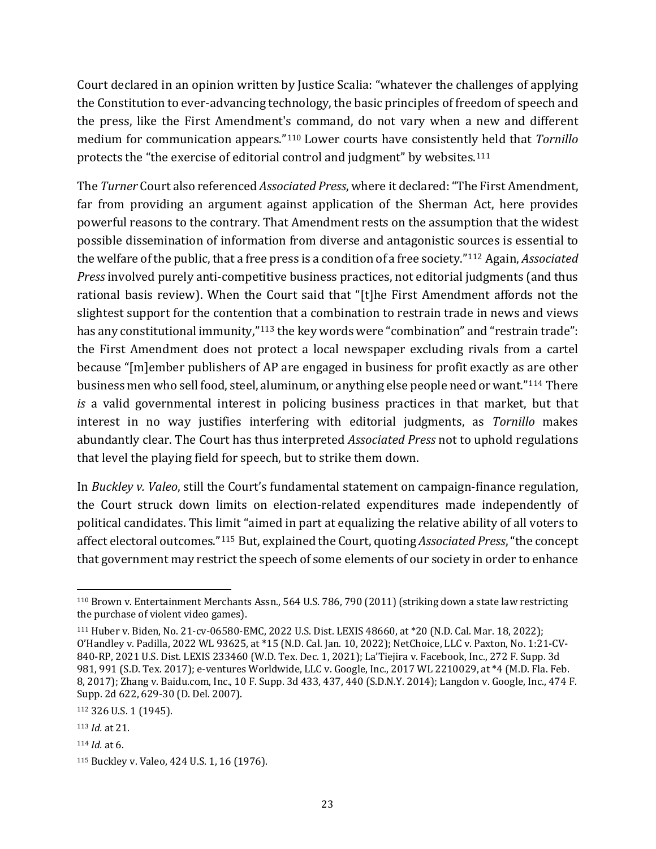Court declared in an opinion written by Justice Scalia: "whatever the challenges of applying the Constitution to ever-advancing technology, the basic principles of freedom of speech and the press, like the First Amendment's command, do not vary when a new and different medium for communication appears."[110](#page-22-0) Lower courts have consistently held that *Tornillo* protects the "the exercise of editorial control and judgment" by websites.[111](#page-22-1)

The *Turner* Court also referenced *Associated Press*, where it declared: "The First Amendment, far from providing an argument against application of the Sherman Act, here provides powerful reasons to the contrary. That Amendment rests on the assumption that the widest possible dissemination of information from diverse and antagonistic sources is essential to the welfare of the public, that a free press is a condition of a free society."[112](#page-22-2) Again, *Associated Press* involved purely anti-competitive business practices, not editorial judgments (and thus rational basis review). When the Court said that "[t]he First Amendment affords not the slightest support for the contention that a combination to restrain trade in news and views has any constitutional immunity,"<sup>[113](#page-22-3)</sup> the key words were "combination" and "restrain trade": the First Amendment does not protect a local newspaper excluding rivals from a cartel because "[m]ember publishers of AP are engaged in business for profit exactly as are other business men who sell food, steel, aluminum, or anything else people need or want."[114](#page-22-4) There *is* a valid governmental interest in policing business practices in that market, but that interest in no way justifies interfering with editorial judgments, as *Tornillo* makes abundantly clear. The Court has thus interpreted *Associated Press* not to uphold regulations that level the playing field for speech, but to strike them down.

In *Buckley v. Valeo*, still the Court's fundamental statement on campaign-finance regulation, the Court struck down limits on election-related expenditures made independently of political candidates. This limit "aimed in part at equalizing the relative ability of all voters to affect electoral outcomes."[115](#page-22-5) But, explained the Court, quoting *Associated Press*, "the concept that government may restrict the speech of some elements of our society in order to enhance

<span id="page-22-4"></span><sup>114</sup> *Id.* at 6.

<span id="page-22-0"></span><sup>110</sup> Brown v. Entertainment Merchants Assn., 564 U.S. 786, 790 (2011) (striking down a state law restricting the purchase of violent video games).

<span id="page-22-1"></span><sup>111</sup> Huber v. Biden, No. 21-cv-06580-EMC, 2022 U.S. Dist. LEXIS 48660, at \*20 (N.D. Cal. Mar. 18, 2022); O'Handley v. Padilla, 2022 WL 93625, at \*15 (N.D. Cal. Jan. 10, 2022); NetChoice, LLC v. Paxton, No. 1:21-CV-840-RP, 2021 U.S. Dist. LEXIS 233460 (W.D. Tex. Dec. 1, 2021); La'Tiejira v. Facebook, Inc., 272 F. Supp. 3d 981, 991 (S.D. Tex. 2017); e-ventures Worldwide, LLC v. Google, Inc., 2017 WL 2210029, at \*4 (M.D. Fla. Feb. 8, 2017); Zhang v. Baidu.com, Inc., 10 F. Supp. 3d 433, 437, 440 (S.D.N.Y. 2014); Langdon v. Google, Inc., 474 F. Supp. 2d 622, 629-30 (D. Del. 2007).

<span id="page-22-2"></span><sup>112</sup> 326 U.S. 1 (1945).

<span id="page-22-3"></span><sup>113</sup> *Id.* at 21.

<span id="page-22-5"></span><sup>115</sup> Buckley v. Valeo, 424 U.S. 1, 16 (1976).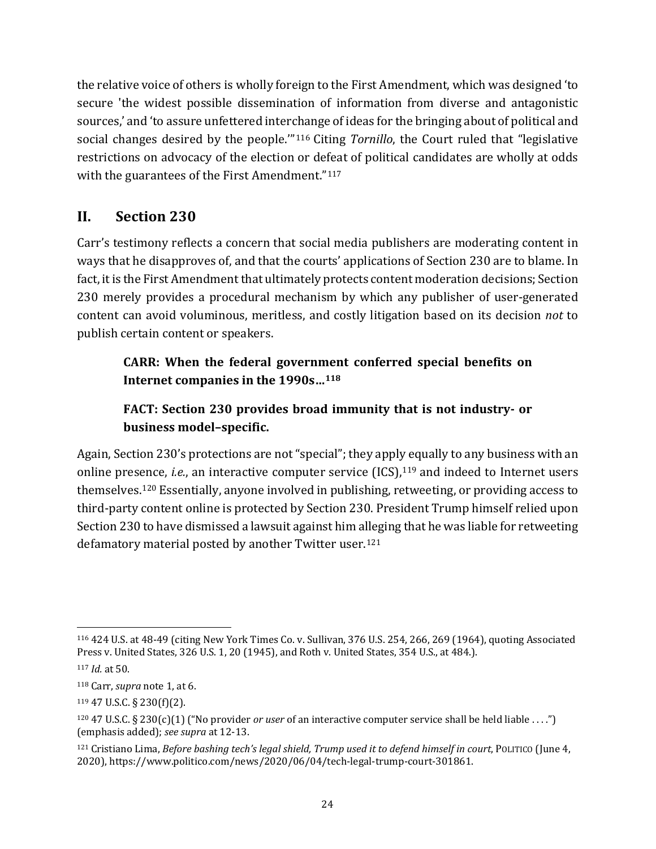the relative voice of others is wholly foreign to the First Amendment, which was designed 'to secure 'the widest possible dissemination of information from diverse and antagonistic sources,' and 'to assure unfettered interchange of ideas for the bringing about of political and social changes desired by the people.'"[116](#page-23-1) Citing *Tornillo*, the Court ruled that "legislative restrictions on advocacy of the election or defeat of political candidates are wholly at odds with the guarantees of the First Amendment."<sup>[117](#page-23-2)</sup>

# **II. Section 230**

Carr's testimony reflects a concern that social media publishers are moderating content in ways that he disapproves of, and that the courts' applications of Section 230 are to blame. In fact, it is the First Amendment that ultimately protects content moderation decisions; Section 230 merely provides a procedural mechanism by which any publisher of user-generated content can avoid voluminous, meritless, and costly litigation based on its decision *not* to publish certain content or speakers.

## **CARR: When the federal government conferred special benefits on Internet companies in the 1990s…[118](#page-23-3)**

# **FACT: Section 230 provides broad immunity that is not industry- or business model–specific.**

Again, Section 230's protections are not "special"; they apply equally to any business with an online presence, *i.e.*, an interactive computer service (ICS),<sup>[119](#page-23-4)</sup> and indeed to Internet users themselves. [120](#page-23-5) Essentially, anyone involved in publishing, retweeting, or providing access to third-party content online is protected by Section 230. President Trump himself relied upon Section 230 to have dismissed a lawsuit against him alleging that he was liable for retweeting defamatory material posted by another Twitter user. [121](#page-23-6)

<span id="page-23-1"></span><sup>116</sup> 424 U.S. at 48-49 (citing New York Times Co. v. Sullivan, 376 U.S. 254, 266, 269 (1964), quoting Associated Press v. United States, 326 U.S. 1, 20 (1945), and Roth v. United States, 354 U.S., at 484.).

<span id="page-23-2"></span><sup>117</sup> *Id.* at 50.

<span id="page-23-3"></span><sup>118</sup> Carr, *supra* not[e 1,](#page-0-1) at 6.

<span id="page-23-4"></span><sup>119</sup> 47 U.S.C. § 230(f)(2).

<span id="page-23-5"></span><span id="page-23-0"></span><sup>120</sup> 47 U.S.C. § 230(c)(1) ("No provider *or user* of an interactive computer service shall be held liable . . . .") (emphasis added); *see supra* at 12[-13.](#page-11-7)

<span id="page-23-6"></span><sup>121</sup> Cristiano Lima, *Before bashing tech's legal shield, Trump used it to defend himself in court*, POLITICO (June 4, 2020), [https://www.politico.com/news/2020/06/04/tech-legal-trump-court-301861.](https://www.politico.com/news/2020/06/04/tech-legal-trump-court-301861)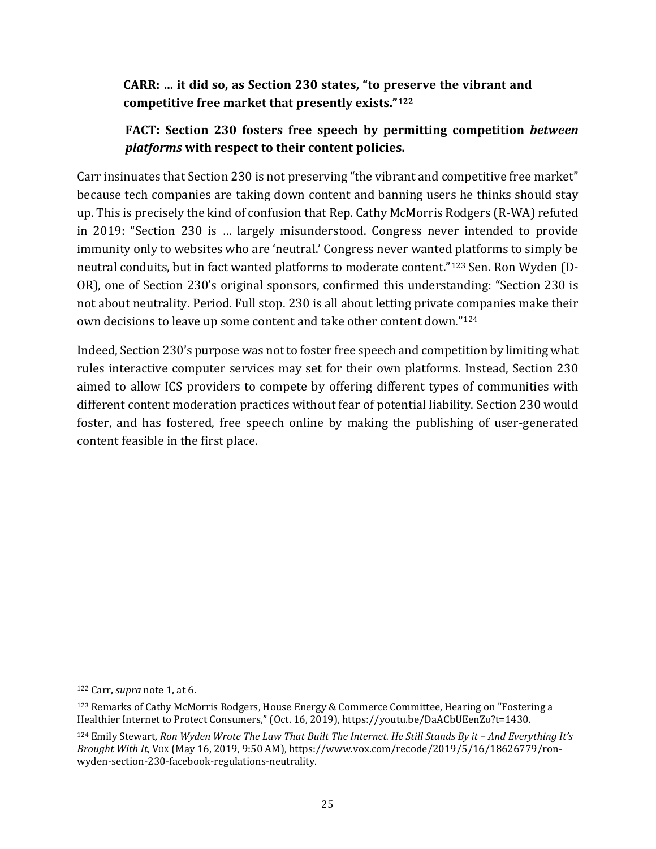### **CARR: … it did so, as Section 230 states, "to preserve the vibrant and competitive free market that presently exists."[122](#page-24-0)**

### **FACT: Section 230 fosters free speech by permitting competition** *between platforms* **with respect to their content policies.**

Carr insinuates that Section 230 is not preserving "the vibrant and competitive free market" because tech companies are taking down content and banning users he thinks should stay up. This is precisely the kind of confusion that Rep. Cathy McMorris Rodgers (R-WA) refuted in 2019: "Section 230 is … largely misunderstood. Congress never intended to provide immunity only to websites who are 'neutral.' Congress never wanted platforms to simply be neutral conduits, but in fact wanted platforms to moderate content."[123](#page-24-1) Sen. Ron Wyden (D-OR), one of Section 230's original sponsors, confirmed this understanding: "Section 230 is not about neutrality. Period. Full stop. 230 is all about letting private companies make their own decisions to leave up some content and take other content down."[124](#page-24-2)

Indeed, Section 230's purpose was not to foster free speech and competition by limiting what rules interactive computer services may set for their own platforms. Instead, Section 230 aimed to allow ICS providers to compete by offering different types of communities with different content moderation practices without fear of potential liability. Section 230 would foster, and has fostered, free speech online by making the publishing of user-generated content feasible in the first place.

<span id="page-24-0"></span><sup>122</sup> Carr, *supra* not[e 1,](#page-0-1) at 6.

<span id="page-24-1"></span><sup>123</sup> Remarks of Cathy McMorris Rodgers, House Energy & Commerce Committee, Hearing on "Fostering a Healthier Internet to Protect Consumers," (Oct. 16, 2019), https://youtu.be/DaACbUEenZo?t=1430.

<span id="page-24-2"></span><sup>124</sup> Emily Stewart*, Ron Wyden Wrote The Law That Built The Internet. He Still Stands By it – And Everything It's Brought With It*, VOX (May 16, 2019, 9:50 AM), https://www.vox.com/recode/2019/5/16/18626779/ronwyden-section-230-facebook-regulations-neutrality.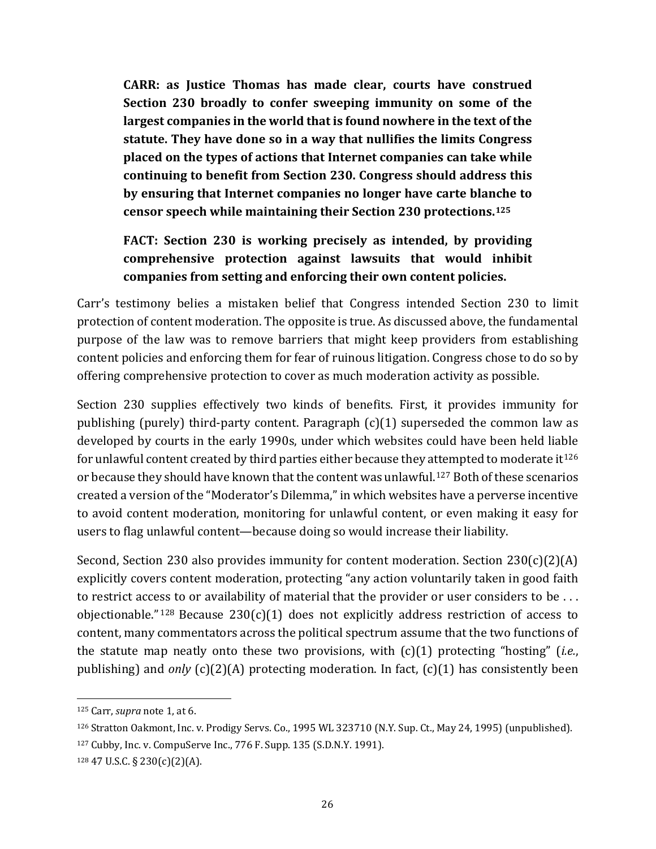**CARR: as Justice Thomas has made clear, courts have construed Section 230 broadly to confer sweeping immunity on some of the largest companies in the world that is found nowhere in the text of the statute. They have done so in a way that nullifies the limits Congress placed on the types of actions that Internet companies can take while continuing to benefit from Section 230. Congress should address this by ensuring that Internet companies no longer have carte blanche to censor speech while maintaining their Section 230 protections.[125](#page-25-0)**

# **FACT: Section 230 is working precisely as intended, by providing comprehensive protection against lawsuits that would inhibit companies from setting and enforcing their own content policies.**

Carr's testimony belies a mistaken belief that Congress intended Section 230 to limit protection of content moderation. The opposite is true. As discussed above, the fundamental purpose of the law was to remove barriers that might keep providers from establishing content policies and enforcing them for fear of ruinous litigation. Congress chose to do so by offering comprehensive protection to cover as much moderation activity as possible.

Section 230 supplies effectively two kinds of benefits. First, it provides immunity for publishing (purely) third-party content. Paragraph (c)(1) superseded the common law as developed by courts in the early 1990s, under which websites could have been held liable for unlawful content created by third parties either because they attempted to moderate it<sup>[126](#page-25-1)</sup> or because they should have known that the content was unlawful.[127](#page-25-2) Both of these scenarios created a version of the "Moderator's Dilemma," in which websites have a perverse incentive to avoid content moderation, monitoring for unlawful content, or even making it easy for users to flag unlawful content—because doing so would increase their liability.

Second, Section 230 also provides immunity for content moderation. Section 230(c)(2)(A) explicitly covers content moderation, protecting "any action voluntarily taken in good faith to restrict access to or availability of material that the provider or user considers to be . . . objectionable."<sup>[128](#page-25-3)</sup> Because 230(c)(1) does not explicitly address restriction of access to content, many commentators across the political spectrum assume that the two functions of the statute map neatly onto these two provisions, with (c)(1) protecting "hosting" (*i.e.*, publishing) and *only* (c)(2)(A) protecting moderation. In fact, (c)(1) has consistently been

<span id="page-25-0"></span><sup>125</sup> Carr, *supra* not[e 1,](#page-0-1) at 6.

<span id="page-25-1"></span><sup>126</sup> Stratton Oakmont, Inc. v. Prodigy Servs. Co., 1995 WL 323710 (N.Y. Sup. Ct., May 24, 1995) (unpublished).

<span id="page-25-2"></span><sup>127</sup> Cubby, Inc. v. CompuServe Inc., 776 F. Supp. 135 (S.D.N.Y. 1991).

<span id="page-25-3"></span><sup>128</sup> 47 U.S.C. § 230(c)(2)(A).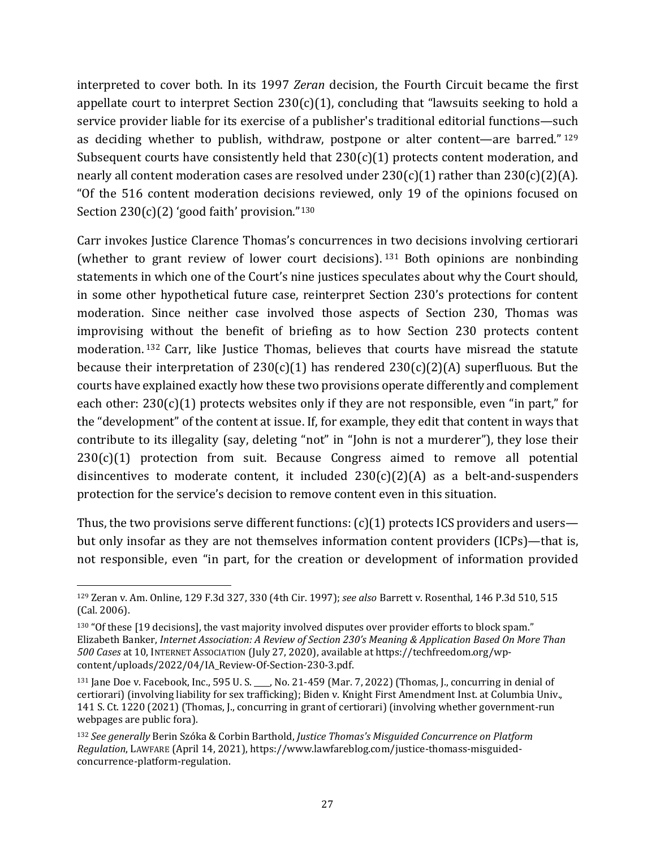interpreted to cover both. In its 1997 *Zeran* decision, the Fourth Circuit became the first appellate court to interpret Section  $230(c)(1)$ , concluding that "lawsuits seeking to hold a service provider liable for its exercise of a publisher's traditional editorial functions—such as deciding whether to publish, withdraw, postpone or alter content—are barred." [129](#page-26-0) Subsequent courts have consistently held that  $230(c)(1)$  protects content moderation, and nearly all content moderation cases are resolved under  $230(c)(1)$  rather than  $230(c)(2)(A)$ . "Of the 516 content moderation decisions reviewed, only 19 of the opinions focused on Section  $230(c)(2)$  'good faith' provision."<sup>[130](#page-26-1)</sup>

Carr invokes Justice Clarence Thomas's concurrences in two decisions involving certiorari (whether to grant review of lower court decisions). [131](#page-26-2) Both opinions are nonbinding statements in which one of the Court's nine justices speculates about why the Court should, in some other hypothetical future case, reinterpret Section 230's protections for content moderation. Since neither case involved those aspects of Section 230, Thomas was improvising without the benefit of briefing as to how Section 230 protects content moderation. [132](#page-26-3) Carr, like Justice Thomas, believes that courts have misread the statute because their interpretation of  $230(c)(1)$  has rendered  $230(c)(2)(A)$  superfluous. But the courts have explained exactly how these two provisions operate differently and complement each other:  $230(c)(1)$  protects websites only if they are not responsible, even "in part," for the "development" of the content at issue. If, for example, they edit that content in ways that contribute to its illegality (say, deleting "not" in "John is not a murderer"), they lose their  $230(c)(1)$  protection from suit. Because Congress aimed to remove all potential disincentives to moderate content, it included  $230(c)(2)(A)$  as a belt-and-suspenders protection for the service's decision to remove content even in this situation.

Thus, the two provisions serve different functions:  $(c)(1)$  protects ICS providers and users but only insofar as they are not themselves information content providers (ICPs)—that is, not responsible, even "in part, for the creation or development of information provided

<span id="page-26-0"></span><sup>129</sup> Zeran v. Am. Online, 129 F.3d 327, 330 (4th Cir. 1997); *see also* Barrett v. Rosenthal*,* 146 P.3d 510, 515 (Cal. 2006).

<span id="page-26-1"></span><sup>130</sup> "Of these [19 decisions], the vast majority involved disputes over provider efforts to block spam." Elizabeth Banker, *Internet Association: A Review of Section 230's Meaning & Application Based On More Than 500 Cases* at 10, INTERNET ASSOCIATION (July 27, 2020), available at https://techfreedom.org/wpcontent/uploads/2022/04/IA\_Review-Of-Section-230-3.pdf.

<span id="page-26-2"></span><sup>131</sup> Jane Doe v. Facebook, Inc., 595 U. S. \_\_\_\_, No. 21-459 (Mar. 7, 2022) (Thomas, J., concurring in denial of certiorari) (involving liability for sex trafficking); Biden v. Knight First Amendment Inst. at Columbia Univ., 141 S. Ct. 1220 (2021) (Thomas, J., concurring in grant of certiorari) (involving whether government-run webpages are public fora).

<span id="page-26-3"></span><sup>132</sup> *See generally* Berin Szóka & Corbin Barthold, *Justice Thomas's Misguided Concurrence on Platform Regulation*, LAWFARE (April 14, 2021), [https://www.lawfareblog.com/justice-thomass-misguided](https://www.lawfareblog.com/justice-thomass-misguided-concurrence-platform-regulation)[concurrence-platform-regulation.](https://www.lawfareblog.com/justice-thomass-misguided-concurrence-platform-regulation)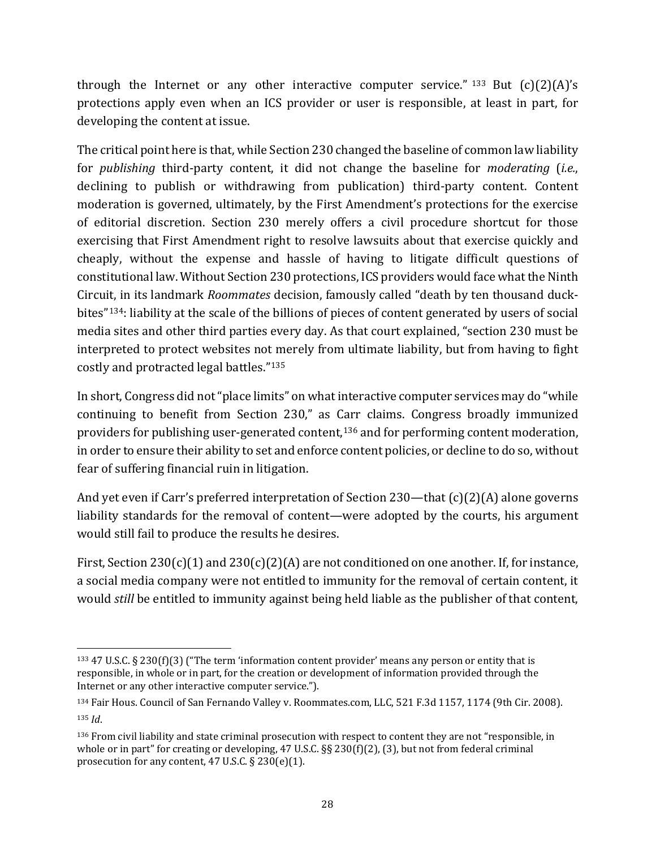through the Internet or any other interactive computer service." [133](#page-27-0) But  $(c)(2)(A)$ 's protections apply even when an ICS provider or user is responsible, at least in part, for developing the content at issue.

The critical point here is that, while Section 230 changed the baseline of common law liability for *publishing* third-party content, it did not change the baseline for *moderating* (*i.e.*, declining to publish or withdrawing from publication) third-party content. Content moderation is governed, ultimately, by the First Amendment's protections for the exercise of editorial discretion. Section 230 merely offers a civil procedure shortcut for those exercising that First Amendment right to resolve lawsuits about that exercise quickly and cheaply, without the expense and hassle of having to litigate difficult questions of constitutional law. Without Section 230 protections, ICS providers would face what the Ninth Circuit, in its landmark *Roommates* decision, famously called "death by ten thousand duckbites"[134](#page-27-1): liability at the scale of the billions of pieces of content generated by users of social media sites and other third parties every day. As that court explained, "section 230 must be interpreted to protect websites not merely from ultimate liability, but from having to fight costly and protracted legal battles."[135](#page-27-2)

In short, Congress did not "place limits" on what interactive computer services may do "while continuing to benefit from Section 230," as Carr claims. Congress broadly immunized providers for publishing user-generated content, [136](#page-27-3) and for performing content moderation, in order to ensure their ability to set and enforce content policies, or decline to do so, without fear of suffering financial ruin in litigation.

And yet even if Carr's preferred interpretation of Section 230—that (c)(2)(A) alone governs liability standards for the removal of content—were adopted by the courts, his argument would still fail to produce the results he desires.

First, Section 230(c)(1) and 230(c)(2)(A) are not conditioned on one another. If, for instance, a social media company were not entitled to immunity for the removal of certain content, it would *still* be entitled to immunity against being held liable as the publisher of that content,

<span id="page-27-0"></span><sup>133</sup> 47 U.S.C. § 230(f)(3) ("The term 'information content provider' means any person or entity that is responsible, in whole or in part, for the creation or development of information provided through the Internet or any other interactive computer service.").

<span id="page-27-1"></span><sup>134</sup> Fair Hous. Council of San Fernando Valley v. Roommates.com, LLC, 521 F.3d 1157, 1174 (9th Cir. 2008). <sup>135</sup> *Id*.

<span id="page-27-3"></span><span id="page-27-2"></span><sup>136</sup> From civil liability and state criminal prosecution with respect to content they are not "responsible, in whole or in part" for creating or developing, 47 U.S.C. §§ 230(f)(2), (3), but not from federal criminal prosecution for any content, 47 U.S.C. § 230(e)(1).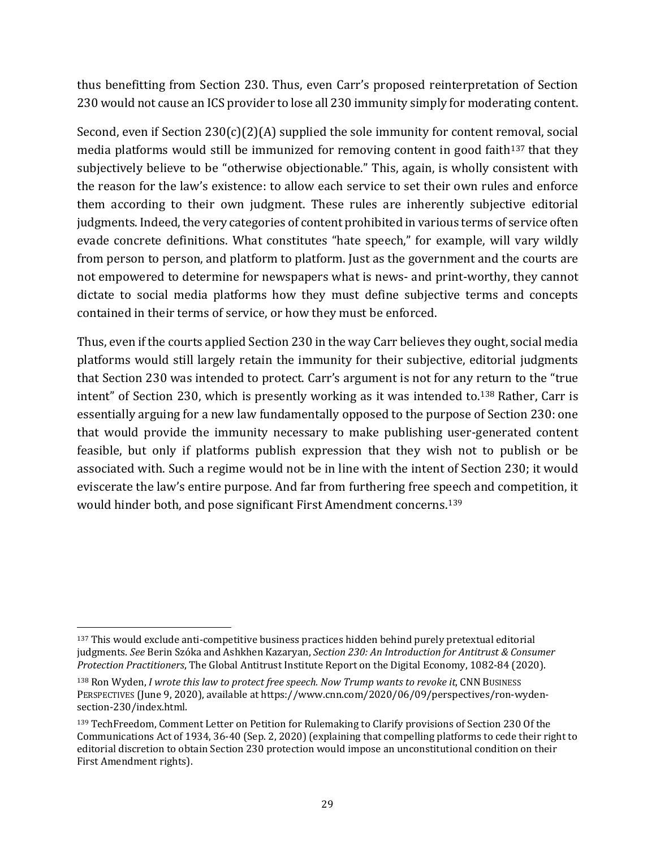thus benefitting from Section 230. Thus, even Carr's proposed reinterpretation of Section 230 would not cause an ICS provider to lose all 230 immunity simply for moderating content.

Second, even if Section 230(c)(2)(A) supplied the sole immunity for content removal, social media platforms would still be immunized for removing content in good faith<sup>[137](#page-28-0)</sup> that they subjectively believe to be "otherwise objectionable." This, again, is wholly consistent with the reason for the law's existence: to allow each service to set their own rules and enforce them according to their own judgment. These rules are inherently subjective editorial judgments. Indeed, the very categories of content prohibited in various terms of service often evade concrete definitions. What constitutes "hate speech," for example, will vary wildly from person to person, and platform to platform. Just as the government and the courts are not empowered to determine for newspapers what is news- and print-worthy, they cannot dictate to social media platforms how they must define subjective terms and concepts contained in their terms of service, or how they must be enforced.

Thus, even if the courts applied Section 230 in the way Carr believes they ought, social media platforms would still largely retain the immunity for their subjective, editorial judgments that Section 230 was intended to protect. Carr's argument is not for any return to the "true intent" of Section 230, which is presently working as it was intended to. [138](#page-28-1) Rather, Carr is essentially arguing for a new law fundamentally opposed to the purpose of Section 230: one that would provide the immunity necessary to make publishing user-generated content feasible, but only if platforms publish expression that they wish not to publish or be associated with. Such a regime would not be in line with the intent of Section 230; it would eviscerate the law's entire purpose. And far from furthering free speech and competition, it would hinder both, and pose significant First Amendment concerns.[139](#page-28-2)

<span id="page-28-0"></span><sup>137</sup> This would exclude anti-competitive business practices hidden behind purely pretextual editorial judgments. *See* Berin Szóka and Ashkhen Kazaryan, *Section 230: An Introduction for Antitrust & Consumer Protection Practitioners*, The Global Antitrust Institute Report on the Digital Economy, 1082-84 (2020).

<span id="page-28-1"></span><sup>138</sup> Ron Wyden, *I wrote this law to protect free speech. Now Trump wants to revoke it*, CNN BUSINESS PERSPECTIVES (June 9, 2020), available at https://www.cnn.com/2020/06/09/perspectives/ron-wydensection-230/index.html.

<span id="page-28-2"></span><sup>139</sup> TechFreedom, Comment Letter on Petition for Rulemaking to Clarify provisions of Section 230 Of the Communications Act of 1934, 36-40 (Sep. 2, 2020) (explaining that compelling platforms to cede their right to editorial discretion to obtain Section 230 protection would impose an unconstitutional condition on their First Amendment rights).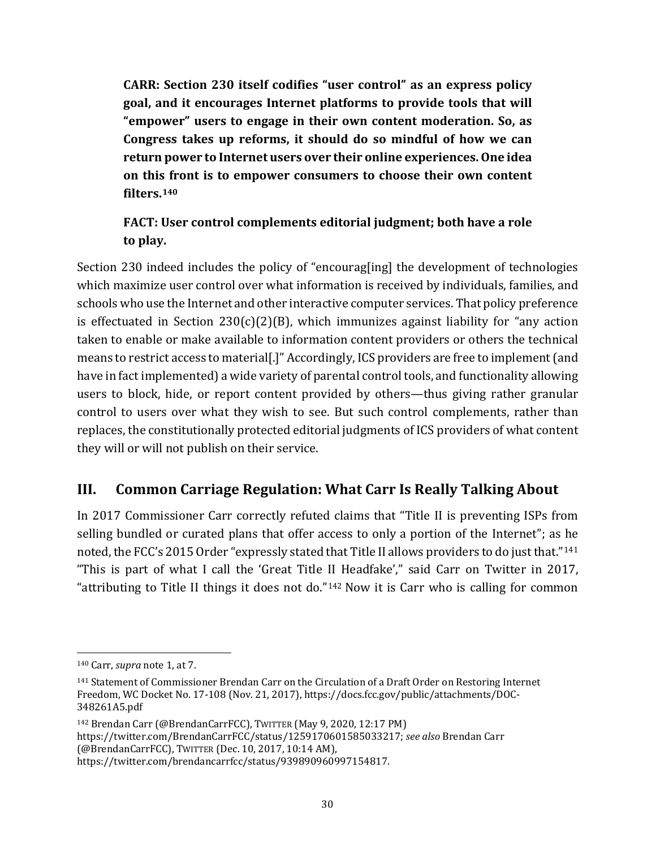**CARR: Section 230 itself codifies "user control" as an express policy goal, and it encourages Internet platforms to provide tools that will "empower" users to engage in their own content moderation. So, as Congress takes up reforms, it should do so mindful of how we can return power to Internet users over their online experiences. One idea on this front is to empower consumers to choose their own content filters.[140](#page-29-0)**

# **FACT: User control complements editorial judgment; both have a role to play.**

Section 230 indeed includes the policy of "encourag[ing] the development of technologies which maximize user control over what information is received by individuals, families, and schools who use the Internet and other interactive computer services. That policy preference is effectuated in Section  $230(c)(2)(B)$ , which immunizes against liability for "any action taken to enable or make available to information content providers or others the technical means to restrict access to material[.]" Accordingly, ICS providers are free to implement (and have in fact implemented) a wide variety of parental control tools, and functionality allowing users to block, hide, or report content provided by others—thus giving rather granular control to users over what they wish to see. But such control complements, rather than replaces, the constitutionally protected editorial judgments of ICS providers of what content they will or will not publish on their service.

# **III. Common Carriage Regulation: What Carr Is Really Talking About**

In 2017 Commissioner Carr correctly refuted claims that "Title II is preventing ISPs from selling bundled or curated plans that offer access to only a portion of the Internet"; as he noted, the FCC's 2015 Order "expressly stated that Title II allows providers to do just that."[141](#page-29-1) "This is part of what I call the 'Great Title II Headfake'," said Carr on Twitter in 2017, "attributing to Title II things it does not do."[142](#page-29-2) Now it is Carr who is calling for common

<span id="page-29-2"></span><sup>142</sup> Brendan Carr (@BrendanCarrFCC), TWITTER (May 9, 2020, 12:17 PM) [https://twitter.com/BrendanCarrFCC/status/1259170601585033217;](https://twitter.com/BrendanCarrFCC/status/1259170601585033217) *see also* Brendan Carr (@BrendanCarrFCC), TWITTER (Dec. 10, 2017, 10:14 AM), [https://twitter.com/brendancarrfcc/status/939890960997154817.](https://twitter.com/brendancarrfcc/status/939890960997154817)

<span id="page-29-0"></span><sup>140</sup> Carr, *supra* not[e 1,](#page-0-1) at 7.

<span id="page-29-1"></span><sup>141</sup> Statement of Commissioner Brendan Carr on the Circulation of a Draft Order on Restoring Internet Freedom, WC Docket No. 17-108 (Nov. 21, 2017), https://docs.fcc.gov/public/attachments/DOC-348261A5.pdf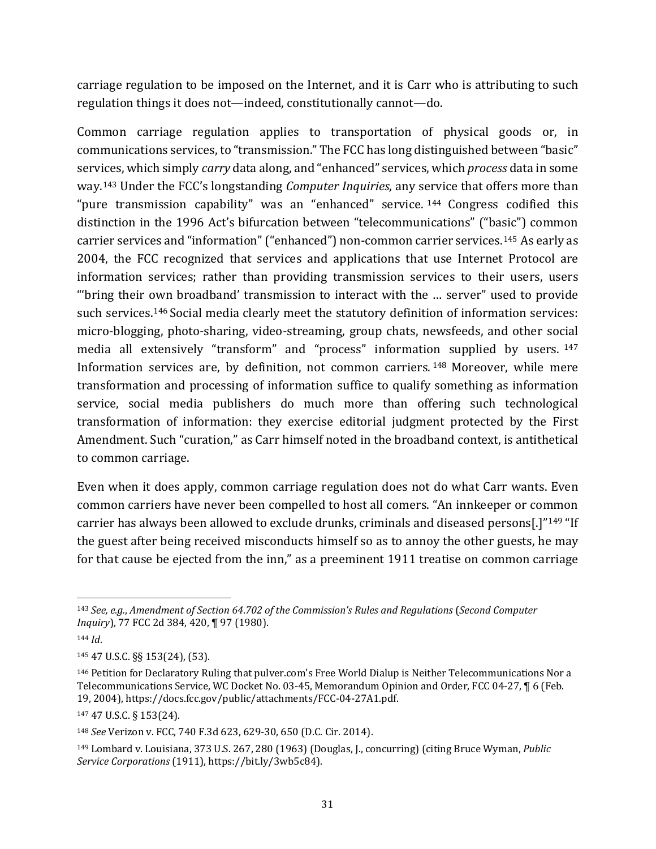carriage regulation to be imposed on the Internet, and it is Carr who is attributing to such regulation things it does not—indeed, constitutionally cannot—do.

Common carriage regulation applies to transportation of physical goods or, in communications services, to "transmission." The FCC has long distinguished between "basic" services, which simply *carry* data along, and "enhanced" services, which *process* data in some way.[143](#page-30-0) Under the FCC's longstanding *Computer Inquiries*, any service that offers more than "pure transmission capability" was an "enhanced" service. <sup>[144](#page-30-1)</sup> Congress codified this distinction in the 1996 Act's bifurcation between "telecommunications" ("basic") common carrier services and "information"("enhanced") non-common carrier services.[145](#page-30-2) As early as 2004, the FCC recognized that services and applications that use Internet Protocol are information services; rather than providing transmission services to their users, users "'bring their own broadband' transmission to interact with the … server" used to provide such services.<sup>[146](#page-30-3)</sup> Social media clearly meet the statutory definition of information services: micro-blogging, photo-sharing, video-streaming, group chats, newsfeeds, and other social media all extensively "transform" and "process" information supplied by users. [147](#page-30-4) Information services are, by definition, not common carriers. [148](#page-30-5) Moreover, while mere transformation and processing of information suffice to qualify something as information service, social media publishers do much more than offering such technological transformation of information: they exercise editorial judgment protected by the First Amendment. Such "curation," as Carr himself noted in the broadband context, is antithetical to common carriage.

Even when it does apply, common carriage regulation does not do what Carr wants. Even common carriers have never been compelled to host all comers. "An innkeeper or common carrier has always been allowed to exclude drunks, criminals and diseased persons[.]"[149](#page-30-6) "If the guest after being received misconducts himself so as to annoy the other guests, he may for that cause be ejected from the inn," as a preeminent 1911 treatise on common carriage

<span id="page-30-0"></span><sup>143</sup> *See, e.g.*, *Amendment of Section 64*.*702 of the Commission's Rules and Regulations* (*Second Computer Inquiry*), 77 FCC 2d 384, 420, ¶ 97 (1980).

<span id="page-30-1"></span><sup>144</sup> *Id*.

<span id="page-30-2"></span><sup>145</sup> 47 U.S.C. §§ 153(24), (53).

<span id="page-30-3"></span><sup>146</sup> Petition for Declaratory Ruling that pulver.com's Free World Dialup is Neither Telecommunications Nor a Telecommunications Service, WC Docket No. 03-45, Memorandum Opinion and Order, FCC 04-27, ¶ 6 (Feb. 19, 2004), https://docs.fcc.gov/public/attachments/FCC-04-27A1.pdf.

<span id="page-30-4"></span><sup>147</sup> 47 U.S.C. § 153(24).

<span id="page-30-5"></span><sup>148</sup> *See* Verizon v. FCC, 740 F.3d 623, 629-30, 650 (D.C. Cir. 2014).

<span id="page-30-6"></span><sup>149</sup> Lombard v. Louisiana, 373 U.S. 267, 280 (1963) (Douglas, J., concurring) (citing Bruce Wyman, *Public Service Corporations* (1911), https://bit.ly/3wb5c84).